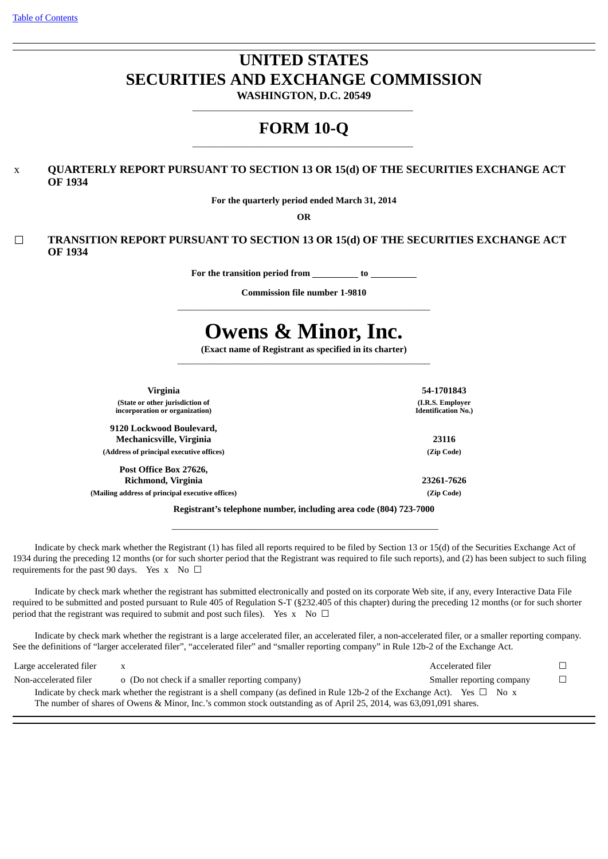# **UNITED STATES SECURITIES AND EXCHANGE COMMISSION**

**WASHINGTON, D.C. 20549** \_\_\_\_\_\_\_\_\_\_\_\_\_\_\_\_\_\_\_\_\_\_\_\_\_\_\_\_\_\_\_\_\_\_\_\_\_\_\_\_\_\_\_\_\_\_\_\_

# **FORM 10-Q** \_\_\_\_\_\_\_\_\_\_\_\_\_\_\_\_\_\_\_\_\_\_\_\_\_\_\_\_\_\_\_\_\_\_\_\_\_\_\_\_\_\_\_\_\_\_\_\_

### x **QUARTERLY REPORT PURSUANT TO SECTION 13 OR 15(d) OF THE SECURITIES EXCHANGE ACT OF 1934**

**For the quarterly period ended March 31, 2014**

**OR**

## ☐ **TRANSITION REPORT PURSUANT TO SECTION 13 OR 15(d) OF THE SECURITIES EXCHANGE ACT OF 1934**

**For the transition period from to**

**Commission file number 1-9810** \_\_\_\_\_\_\_\_\_\_\_\_\_\_\_\_\_\_\_\_\_\_\_\_\_\_\_\_\_\_\_\_\_\_\_\_\_\_\_\_\_\_\_\_\_\_\_\_\_\_\_\_\_\_\_

# **Owens & Minor, Inc.**

**(Exact name of Registrant as specified in its charter)** \_\_\_\_\_\_\_\_\_\_\_\_\_\_\_\_\_\_\_\_\_\_\_\_\_\_\_\_\_\_\_\_\_\_\_\_\_\_\_\_\_\_\_\_\_\_\_\_\_\_\_\_\_\_\_

| Virginia                                                          | 54-1701843                                      |
|-------------------------------------------------------------------|-------------------------------------------------|
| (State or other jurisdiction of<br>incorporation or organization) | (I.R.S. Employer)<br><b>Identification No.)</b> |
| 9120 Lockwood Boulevard,                                          |                                                 |
| Mechanicsville, Virginia                                          | 23116                                           |
| (Address of principal executive offices)                          | (Zip Code)                                      |
| Post Office Box 27626.                                            |                                                 |
| Richmond, Virginia                                                | 23261-7626                                      |
| (Mailing address of principal executive offices)                  | (Zip Code)                                      |
|                                                                   |                                                 |

**Registrant's telephone number, including area code (804) 723-7000** \_\_\_\_\_\_\_\_\_\_\_\_\_\_\_\_\_\_\_\_\_\_\_\_\_\_\_\_\_\_\_\_\_\_\_\_\_\_\_\_\_\_\_\_\_\_\_\_\_\_\_\_\_\_\_\_\_\_

Indicate by check mark whether the Registrant (1) has filed all reports required to be filed by Section 13 or 15(d) of the Securities Exchange Act of 1934 during the preceding 12 months (or for such shorter period that the Registrant was required to file such reports), and (2) has been subject to such filing requirements for the past 90 days. Yes  $x \to 0$ 

Indicate by check mark whether the registrant has submitted electronically and posted on its corporate Web site, if any, every Interactive Data File required to be submitted and posted pursuant to Rule 405 of Regulation S-T (§232.405 of this chapter) during the preceding 12 months (or for such shorter period that the registrant was required to submit and post such files). Yes  $x \in N_0 \square$ 

Indicate by check mark whether the registrant is a large accelerated filer, an accelerated filer, a non-accelerated filer, or a smaller reporting company. See the definitions of "larger accelerated filer", "accelerated filer" and "smaller reporting company" in Rule 12b-2 of the Exchange Act.

<span id="page-0-0"></span>

| Large accelerated filer |                                                                                                                                  | Accelerated filer         |        |
|-------------------------|----------------------------------------------------------------------------------------------------------------------------------|---------------------------|--------|
| Non-accelerated filer   | o (Do not check if a smaller reporting company)                                                                                  | Smaller reporting company | $\Box$ |
|                         | Indicate by check mark whether the registrant is a shell company (as defined in Rule 12b-2 of the Exchange Act). Yes $\Box$ No x |                           |        |
|                         | The number of shares of Owens & Minor, Inc.'s common stock outstanding as of April 25, 2014, was 63,091,091 shares.              |                           |        |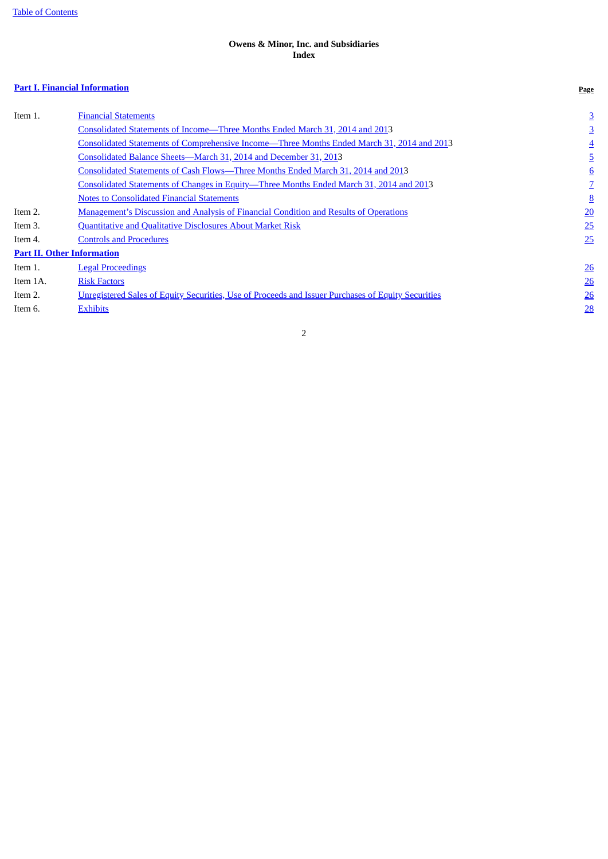### **Owens & Minor, Inc. and Subsidiaries Index**

# **Part I. Financial [Information](#page-1-0) Page**

<span id="page-1-0"></span>

| Item 1.  | <b>Financial Statements</b>                                                                        |                |
|----------|----------------------------------------------------------------------------------------------------|----------------|
|          | Consolidated Statements of Income—Three Months Ended March 31, 2014 and 2013                       | 3              |
|          | <u>Consolidated Statements of Comprehensive Income—Three Months Ended March 31, 2014 and 2013</u>  | $\overline{4}$ |
|          | Consolidated Balance Sheets-March 31, 2014 and December 31, 2013                                   | 5              |
|          | <u>Consolidated Statements of Cash Flows—Three Months Ended March 31, 2014 and 2013</u>            | 6              |
|          | <u>Consolidated Statements of Changes in Equity-Three Months Ended March 31, 2014 and 2013</u>     |                |
|          | <b>Notes to Consolidated Financial Statements</b>                                                  | 8              |
| Item 2.  | <b>Management's Discussion and Analysis of Financial Condition and Results of Operations</b>       | 20             |
| Item 3.  | <b>Quantitative and Qualitative Disclosures About Market Risk</b>                                  | 25             |
| Item 4.  | <b>Controls and Procedures</b>                                                                     | 25             |
|          | <b>Part II. Other Information</b>                                                                  |                |
| Item 1.  | <b>Legal Proceedings</b>                                                                           | 26             |
| Item 1A. | <b>Risk Factors</b>                                                                                | 26             |
| Item 2.  | Unregistered Sales of Equity Securities, Use of Proceeds and Issuer Purchases of Equity Securities | 26             |
| Item 6.  | <b>Exhibits</b>                                                                                    | 28             |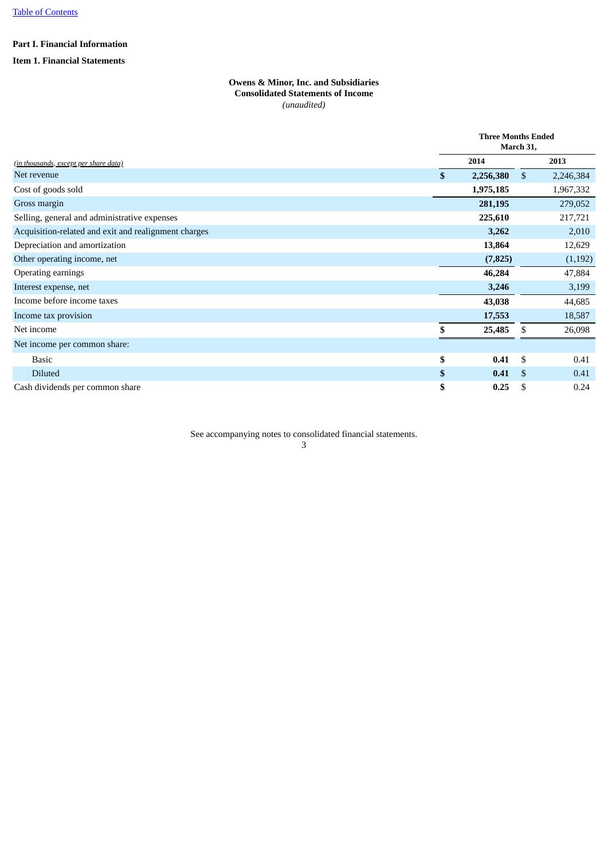# **Part I. Financial Information**

# <span id="page-2-1"></span><span id="page-2-0"></span>**Item 1. Financial Statements**

### **Owens & Minor, Inc. and Subsidiaries Consolidated Statements of Income** *(unaudited)*

|                                                      | <b>Three Months Ended</b><br>March 31, |           |              |           |
|------------------------------------------------------|----------------------------------------|-----------|--------------|-----------|
| (in thousands, except per share data)                |                                        | 2014      |              | 2013      |
| Net revenue                                          | \$                                     | 2,256,380 | $\mathbb{S}$ | 2,246,384 |
| Cost of goods sold                                   |                                        | 1,975,185 |              | 1,967,332 |
| Gross margin                                         |                                        | 281,195   |              | 279,052   |
| Selling, general and administrative expenses         |                                        | 225,610   |              | 217,721   |
| Acquisition-related and exit and realignment charges |                                        | 3,262     |              | 2,010     |
| Depreciation and amortization                        |                                        | 13,864    |              | 12,629    |
| Other operating income, net                          |                                        | (7, 825)  |              | (1, 192)  |
| Operating earnings                                   |                                        | 46,284    |              | 47,884    |
| Interest expense, net                                |                                        | 3,246     |              | 3,199     |
| Income before income taxes                           |                                        | 43,038    |              | 44,685    |
| Income tax provision                                 |                                        | 17,553    |              | 18,587    |
| Net income                                           | \$                                     | 25,485    | £.           | 26,098    |
| Net income per common share:                         |                                        |           |              |           |
| <b>Basic</b>                                         | \$                                     | 0.41      | \$.          | 0.41      |
| <b>Diluted</b>                                       | \$                                     | 0.41      | \$           | 0.41      |
| Cash dividends per common share                      | \$                                     | 0.25      | \$           | 0.24      |

<span id="page-2-2"></span>See accompanying notes to consolidated financial statements.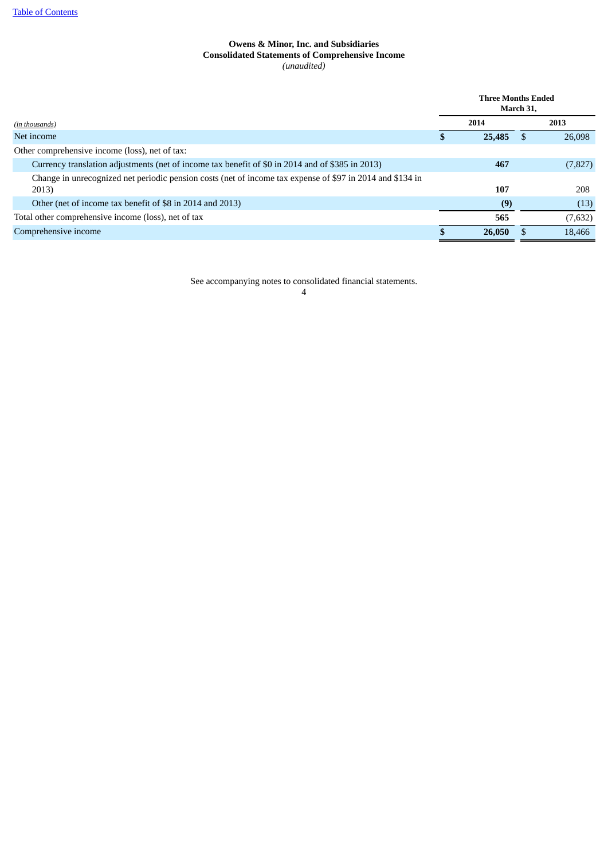### **Owens & Minor, Inc. and Subsidiaries Consolidated Statements of Comprehensive Income** *(unaudited)*

|                                                                                                                    | <b>Three Months Ended</b> | March 31, |          |  |  |
|--------------------------------------------------------------------------------------------------------------------|---------------------------|-----------|----------|--|--|
| (in thousands)                                                                                                     | 2014                      |           | 2013     |  |  |
| Net income                                                                                                         | 25,485                    | - S       | 26,098   |  |  |
| Other comprehensive income (loss), net of tax:                                                                     |                           |           |          |  |  |
| Currency translation adjustments (net of income tax benefit of \$0 in 2014 and of \$385 in 2013)                   | 467                       |           | (7, 827) |  |  |
| Change in unrecognized net periodic pension costs (net of income tax expense of \$97 in 2014 and \$134 in<br>2013) | 107                       |           | 208      |  |  |
| Other (net of income tax benefit of \$8 in 2014 and 2013)                                                          | (9)                       |           | (13)     |  |  |
| Total other comprehensive income (loss), net of tax                                                                | 565                       |           | (7,632)  |  |  |
| Comprehensive income                                                                                               | 26,050                    |           | 18,466   |  |  |

<span id="page-3-0"></span>See accompanying notes to consolidated financial statements.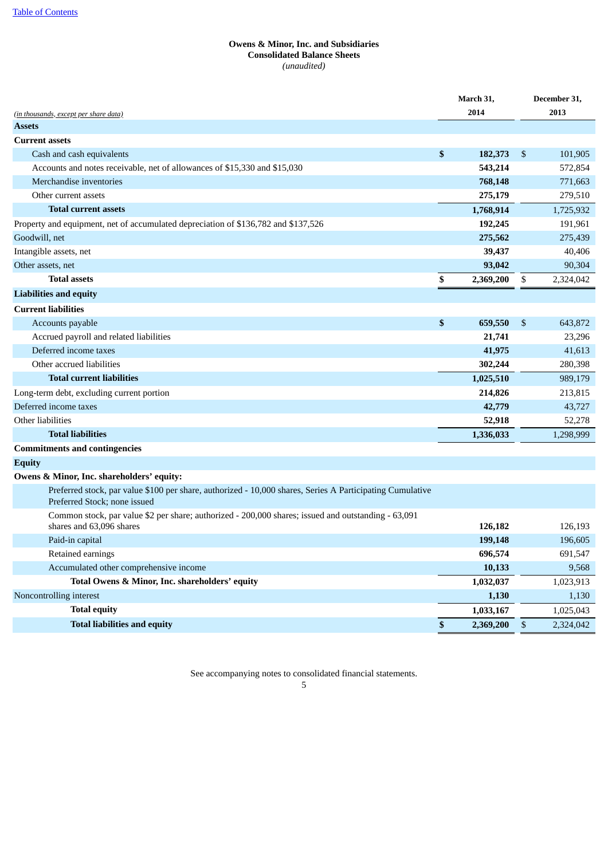### **Owens & Minor, Inc. and Subsidiaries Consolidated Balance Sheets** *(unaudited)*

|                                                                                                                                           | March 31, |           |      | December 31, |
|-------------------------------------------------------------------------------------------------------------------------------------------|-----------|-----------|------|--------------|
| <i>(in thousands, except per share data)</i>                                                                                              |           | 2014      |      | 2013         |
| Assets                                                                                                                                    |           |           |      |              |
| <b>Current assets</b>                                                                                                                     |           |           |      |              |
| Cash and cash equivalents                                                                                                                 | \$        | 182,373   | \$   | 101,905      |
| Accounts and notes receivable, net of allowances of \$15,330 and \$15,030                                                                 |           | 543,214   |      | 572,854      |
| Merchandise inventories                                                                                                                   |           | 768,148   |      | 771,663      |
| Other current assets                                                                                                                      |           | 275,179   |      | 279,510      |
| <b>Total current assets</b>                                                                                                               |           | 1,768,914 |      | 1,725,932    |
| Property and equipment, net of accumulated depreciation of \$136,782 and \$137,526                                                        |           | 192,245   |      | 191,961      |
| Goodwill, net                                                                                                                             |           | 275,562   |      | 275,439      |
| Intangible assets, net                                                                                                                    |           | 39,437    |      | 40,406       |
| Other assets, net                                                                                                                         |           | 93,042    |      | 90,304       |
| <b>Total assets</b>                                                                                                                       | \$        | 2,369,200 | \$   | 2,324,042    |
| <b>Liabilities and equity</b>                                                                                                             |           |           |      |              |
| <b>Current liabilities</b>                                                                                                                |           |           |      |              |
| Accounts payable                                                                                                                          | \$        | 659,550   | \$   | 643,872      |
| Accrued payroll and related liabilities                                                                                                   |           | 21,741    |      | 23,296       |
| Deferred income taxes                                                                                                                     |           | 41,975    |      | 41,613       |
| Other accrued liabilities                                                                                                                 |           | 302,244   |      | 280,398      |
| <b>Total current liabilities</b>                                                                                                          |           | 1,025,510 |      | 989,179      |
| Long-term debt, excluding current portion                                                                                                 |           | 214,826   |      | 213,815      |
| Deferred income taxes                                                                                                                     |           | 42,779    |      | 43,727       |
| Other liabilities                                                                                                                         |           | 52,918    |      | 52,278       |
| <b>Total liabilities</b>                                                                                                                  |           | 1,336,033 |      | 1,298,999    |
| <b>Commitments and contingencies</b>                                                                                                      |           |           |      |              |
| <b>Equity</b>                                                                                                                             |           |           |      |              |
| Owens & Minor, Inc. shareholders' equity:                                                                                                 |           |           |      |              |
| Preferred stock, par value \$100 per share, authorized - 10,000 shares, Series A Participating Cumulative<br>Preferred Stock; none issued |           |           |      |              |
| Common stock, par value \$2 per share; authorized - 200,000 shares; issued and outstanding - 63,091<br>shares and 63,096 shares           |           | 126,182   |      | 126,193      |
| Paid-in capital                                                                                                                           |           | 199,148   |      | 196,605      |
| Retained earnings                                                                                                                         |           | 696,574   |      | 691,547      |
| Accumulated other comprehensive income                                                                                                    |           | 10,133    |      | 9,568        |
| Total Owens & Minor, Inc. shareholders' equity                                                                                            |           | 1,032,037 |      | 1,023,913    |
| Noncontrolling interest                                                                                                                   |           | 1,130     |      | 1,130        |
| <b>Total equity</b>                                                                                                                       |           | 1,033,167 |      | 1,025,043    |
| <b>Total liabilities and equity</b>                                                                                                       | \$        | 2,369,200 | $\$$ | 2,324,042    |
|                                                                                                                                           |           |           |      |              |

<span id="page-4-0"></span>See accompanying notes to consolidated financial statements.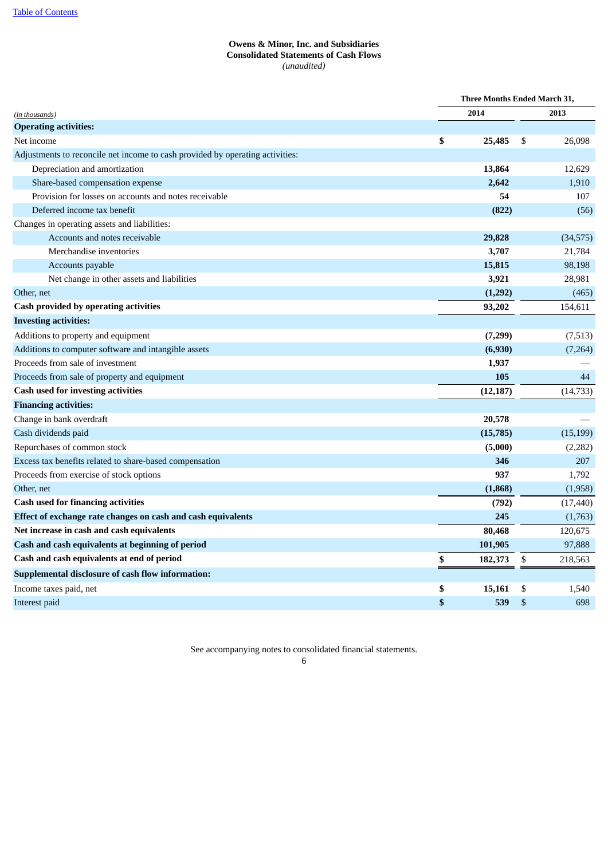### **Owens & Minor, Inc. and Subsidiaries Consolidated Statements of Cash Flows** *(unaudited)*

|                                                                               |    |           | <b>Three Months Ended March 31,</b> |           |  |
|-------------------------------------------------------------------------------|----|-----------|-------------------------------------|-----------|--|
| (in thousands)                                                                |    | 2014      |                                     | 2013      |  |
| <b>Operating activities:</b>                                                  |    |           |                                     |           |  |
| Net income                                                                    | \$ | 25,485    | \$                                  | 26,098    |  |
| Adjustments to reconcile net income to cash provided by operating activities: |    |           |                                     |           |  |
| Depreciation and amortization                                                 |    | 13,864    |                                     | 12,629    |  |
| Share-based compensation expense                                              |    | 2,642     |                                     | 1,910     |  |
| Provision for losses on accounts and notes receivable                         |    | 54        |                                     | 107       |  |
| Deferred income tax benefit                                                   |    | (822)     |                                     | (56)      |  |
| Changes in operating assets and liabilities:                                  |    |           |                                     |           |  |
| Accounts and notes receivable                                                 |    | 29,828    |                                     | (34, 575) |  |
| Merchandise inventories                                                       |    | 3,707     |                                     | 21,784    |  |
| Accounts payable                                                              |    | 15,815    |                                     | 98,198    |  |
| Net change in other assets and liabilities                                    |    | 3,921     |                                     | 28,981    |  |
| Other, net                                                                    |    | (1,292)   |                                     | (465)     |  |
| Cash provided by operating activities                                         |    | 93,202    |                                     | 154,611   |  |
| <b>Investing activities:</b>                                                  |    |           |                                     |           |  |
| Additions to property and equipment                                           |    | (7,299)   |                                     | (7,513)   |  |
| Additions to computer software and intangible assets                          |    | (6,930)   |                                     | (7,264)   |  |
| Proceeds from sale of investment                                              |    | 1,937     |                                     |           |  |
| Proceeds from sale of property and equipment                                  |    | 105       |                                     | 44        |  |
| <b>Cash used for investing activities</b>                                     |    | (12, 187) |                                     | (14, 733) |  |
| <b>Financing activities:</b>                                                  |    |           |                                     |           |  |
| Change in bank overdraft                                                      |    | 20,578    |                                     |           |  |
| Cash dividends paid                                                           |    | (15,785)  |                                     | (15, 199) |  |
| Repurchases of common stock                                                   |    | (5,000)   |                                     | (2, 282)  |  |
| Excess tax benefits related to share-based compensation                       |    | 346       |                                     | 207       |  |
| Proceeds from exercise of stock options                                       |    | 937       |                                     | 1,792     |  |
| Other, net                                                                    |    | (1,868)   |                                     | (1,958)   |  |
| <b>Cash used for financing activities</b>                                     |    | (792)     |                                     | (17, 440) |  |
| Effect of exchange rate changes on cash and cash equivalents                  |    | 245       |                                     | (1,763)   |  |
| Net increase in cash and cash equivalents                                     |    | 80,468    |                                     | 120,675   |  |
| Cash and cash equivalents at beginning of period                              |    | 101,905   |                                     | 97,888    |  |
| Cash and cash equivalents at end of period                                    | \$ | 182,373   | \$                                  | 218,563   |  |
| Supplemental disclosure of cash flow information:                             |    |           |                                     |           |  |
| Income taxes paid, net                                                        | \$ | 15,161    | \$                                  | 1,540     |  |
| Interest paid                                                                 | \$ | 539       | \$                                  | 698       |  |

<span id="page-5-0"></span>See accompanying notes to consolidated financial statements.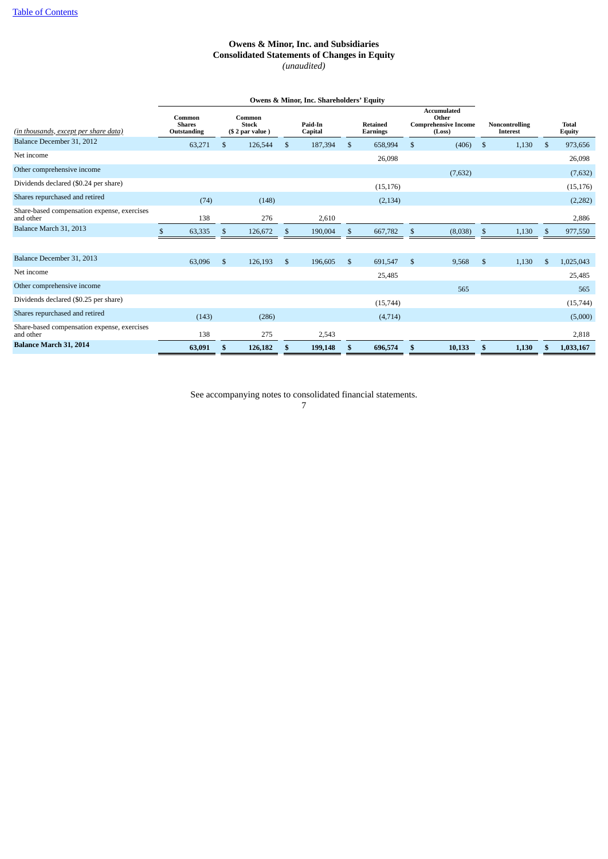### **Owens & Minor, Inc. and Subsidiaries Consolidated Statements of Changes in Equity** *(unaudited)*

|                                                          | Owens & Minor, Inc. Shareholders' Equity |                                        |    |                                           |    |                    |              |                                    |              |                                                                      |                |                            |              |                               |
|----------------------------------------------------------|------------------------------------------|----------------------------------------|----|-------------------------------------------|----|--------------------|--------------|------------------------------------|--------------|----------------------------------------------------------------------|----------------|----------------------------|--------------|-------------------------------|
| <i>(in thousands, except per share data)</i>             |                                          | Common<br><b>Shares</b><br>Outstanding |    | Common<br><b>Stock</b><br>(\$2 par value) |    | Paid-In<br>Capital |              | <b>Retained</b><br><b>Earnings</b> |              | <b>Accumulated</b><br>Other<br><b>Comprehensive Income</b><br>(Loss) |                | Noncontrolling<br>Interest |              | <b>Total</b><br><b>Equity</b> |
| Balance December 31, 2012                                |                                          | 63,271                                 | \$ | 126,544                                   | \$ | 187,394            | $\mathbb{S}$ | 658,994                            | \$           | (406)                                                                | \$             | 1,130                      | $\mathbb{S}$ | 973,656                       |
| Net income                                               |                                          |                                        |    |                                           |    |                    |              | 26,098                             |              |                                                                      |                |                            |              | 26,098                        |
| Other comprehensive income                               |                                          |                                        |    |                                           |    |                    |              |                                    |              | (7,632)                                                              |                |                            |              | (7,632)                       |
| Dividends declared (\$0.24 per share)                    |                                          |                                        |    |                                           |    |                    |              | (15, 176)                          |              |                                                                      |                |                            |              | (15, 176)                     |
| Shares repurchased and retired                           |                                          | (74)                                   |    | (148)                                     |    |                    |              | (2, 134)                           |              |                                                                      |                |                            |              | (2,282)                       |
| Share-based compensation expense, exercises<br>and other |                                          | 138                                    |    | 276                                       |    | 2,610              |              |                                    |              |                                                                      |                |                            |              | 2,886                         |
| Balance March 31, 2013                                   | S.                                       | 63,335                                 | \$ | 126,672                                   | \$ | 190,004            | \$           | 667,782                            | \$           | (8,038)                                                              | \$             | 1,130                      | \$           | 977,550                       |
|                                                          |                                          |                                        |    |                                           |    |                    |              |                                    |              |                                                                      |                |                            |              |                               |
| Balance December 31, 2013                                |                                          | 63,096                                 | \$ | 126,193                                   | \$ | 196,605            | \$           | 691,547                            | $\mathbb{S}$ | 9,568                                                                | $\mathfrak{s}$ | 1,130                      | $\mathbb{S}$ | 1,025,043                     |
| Net income                                               |                                          |                                        |    |                                           |    |                    |              | 25,485                             |              |                                                                      |                |                            |              | 25,485                        |
| Other comprehensive income                               |                                          |                                        |    |                                           |    |                    |              |                                    |              | 565                                                                  |                |                            |              | 565                           |
| Dividends declared (\$0.25 per share)                    |                                          |                                        |    |                                           |    |                    |              | (15,744)                           |              |                                                                      |                |                            |              | (15,744)                      |
| Shares repurchased and retired                           |                                          | (143)                                  |    | (286)                                     |    |                    |              | (4,714)                            |              |                                                                      |                |                            |              | (5,000)                       |
| Share-based compensation expense, exercises<br>and other |                                          | 138                                    |    | 275                                       |    | 2,543              |              |                                    |              |                                                                      |                |                            |              | 2,818                         |
| <b>Balance March 31, 2014</b>                            |                                          | 63,091                                 | \$ | 126,182                                   | \$ | 199,148            | S            | 696,574                            | S.           | 10,133                                                               | S              | 1,130                      | S            | 1,033,167                     |

<span id="page-6-0"></span>See accompanying notes to consolidated financial statements.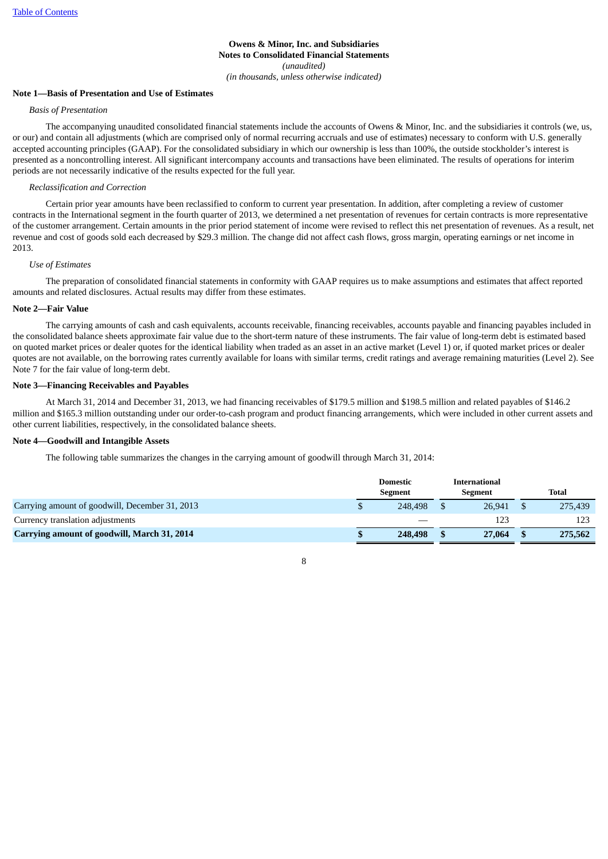### **Owens & Minor, Inc. and Subsidiaries Notes to Consolidated Financial Statements** *(unaudited) (in thousands, unless otherwise indicated)*

#### **Note 1—Basis of Presentation and Use of Estimates**

#### *Basis of Presentation*

The accompanying unaudited consolidated financial statements include the accounts of Owens & Minor, Inc. and the subsidiaries it controls (we, us, or our) and contain all adjustments (which are comprised only of normal recurring accruals and use of estimates) necessary to conform with U.S. generally accepted accounting principles (GAAP). For the consolidated subsidiary in which our ownership is less than 100%, the outside stockholder's interest is presented as a noncontrolling interest. All significant intercompany accounts and transactions have been eliminated. The results of operations for interim periods are not necessarily indicative of the results expected for the full year.

#### *Reclassification and Correction*

Certain prior year amounts have been reclassified to conform to current year presentation. In addition, after completing a review of customer contracts in the International segment in the fourth quarter of 2013, we determined a net presentation of revenues for certain contracts is more representative of the customer arrangement. Certain amounts in the prior period statement of income were revised to reflect this net presentation of revenues. As a result, net revenue and cost of goods sold each decreased by \$29.3 million. The change did not affect cash flows, gross margin, operating earnings or net income in 2013.

#### *Use of Estimates*

The preparation of consolidated financial statements in conformity with GAAP requires us to make assumptions and estimates that affect reported amounts and related disclosures. Actual results may differ from these estimates.

#### **Note 2—Fair Value**

The carrying amounts of cash and cash equivalents, accounts receivable, financing receivables, accounts payable and financing payables included in the consolidated balance sheets approximate fair value due to the short-term nature of these instruments. The fair value of long-term debt is estimated based on quoted market prices or dealer quotes for the identical liability when traded as an asset in an active market (Level 1) or, if quoted market prices or dealer quotes are not available, on the borrowing rates currently available for loans with similar terms, credit ratings and average remaining maturities (Level 2). See Note 7 for the fair value of long-term debt.

#### **Note 3—Financing Receivables and Payables**

At March 31, 2014 and December 31, 2013, we had financing receivables of \$179.5 million and \$198.5 million and related payables of \$146.2 million and \$165.3 million outstanding under our order-to-cash program and product financing arrangements, which were included in other current assets and other current liabilities, respectively, in the consolidated balance sheets.

#### **Note 4—Goodwill and Intangible Assets**

The following table summarizes the changes in the carrying amount of goodwill through March 31, 2014:

|                                                    | <b>Domestic</b><br>Segment | International<br>Segment | <b>Total</b> |
|----------------------------------------------------|----------------------------|--------------------------|--------------|
| Carrying amount of goodwill, December 31, 2013     | 248,498                    | 26.941                   | 275,439      |
| Currency translation adjustments                   |                            | 123                      | 123          |
| <b>Carrying amount of goodwill, March 31, 2014</b> | 248,498                    | 27,064                   | 275,562      |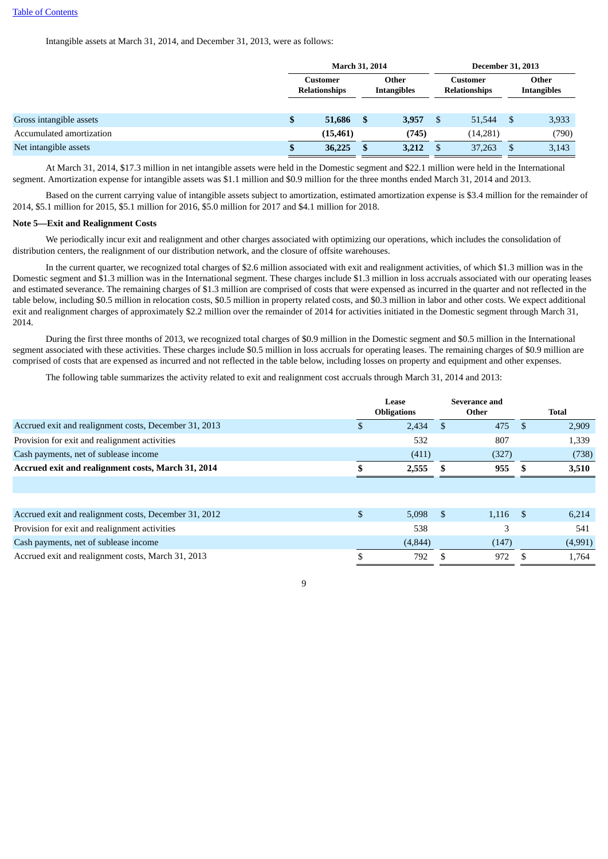Intangible assets at March 31, 2014, and December 31, 2013, were as follows:

|                          | March 31, 2014 |                                  |  |                             |   |                                  | <b>December 31, 2013</b> |                             |
|--------------------------|----------------|----------------------------------|--|-----------------------------|---|----------------------------------|--------------------------|-----------------------------|
|                          |                | Customer<br><b>Relationships</b> |  | Other<br><b>Intangibles</b> |   | Customer<br><b>Relationships</b> |                          | Other<br><b>Intangibles</b> |
|                          |                |                                  |  |                             |   |                                  |                          |                             |
| Gross intangible assets  | S              | 51,686                           |  | 3,957                       | S | 51,544                           | \$.                      | 3,933                       |
| Accumulated amortization |                | (15, 461)                        |  | (745)                       |   | (14,281)                         |                          | (790)                       |
| Net intangible assets    |                | 36,225                           |  | 3,212                       |   | 37,263                           | \$.                      | 3,143                       |

At March 31, 2014, \$17.3 million in net intangible assets were held in the Domestic segment and \$22.1 million were held in the International segment. Amortization expense for intangible assets was \$1.1 million and \$0.9 million for the three months ended March 31, 2014 and 2013.

Based on the current carrying value of intangible assets subject to amortization, estimated amortization expense is \$3.4 million for the remainder of 2014, \$5.1 million for 2015, \$5.1 million for 2016, \$5.0 million for 2017 and \$4.1 million for 2018.

#### **Note 5—Exit and Realignment Costs**

We periodically incur exit and realignment and other charges associated with optimizing our operations, which includes the consolidation of distribution centers, the realignment of our distribution network, and the closure of offsite warehouses.

In the current quarter, we recognized total charges of \$2.6 million associated with exit and realignment activities, of which \$1.3 million was in the Domestic segment and \$1.3 million was in the International segment. These charges include \$1.3 million in loss accruals associated with our operating leases and estimated severance. The remaining charges of \$1.3 million are comprised of costs that were expensed as incurred in the quarter and not reflected in the table below, including \$0.5 million in relocation costs, \$0.5 million in property related costs, and \$0.3 million in labor and other costs. We expect additional exit and realignment charges of approximately \$2.2 million over the remainder of 2014 for activities initiated in the Domestic segment through March 31, 2014.

During the first three months of 2013, we recognized total charges of \$0.9 million in the Domestic segment and \$0.5 million in the International segment associated with these activities. These charges include \$0.5 million in loss accruals for operating leases. The remaining charges of \$0.9 million are comprised of costs that are expensed as incurred and not reflected in the table below, including losses on property and equipment and other expenses.

The following table summarizes the activity related to exit and realignment cost accruals through March 31, 2014 and 2013:

|                                                       |          | Lease<br><b>Obligations</b> |              | <b>Severance and</b><br>Other |      | Total   |
|-------------------------------------------------------|----------|-----------------------------|--------------|-------------------------------|------|---------|
| Accrued exit and realignment costs, December 31, 2013 | <b>S</b> | 2,434                       | $\mathbf{s}$ | 475                           | - \$ | 2,909   |
| Provision for exit and realignment activities         |          | 532                         |              | 807                           |      | 1,339   |
| Cash payments, net of sublease income                 |          | (411)                       |              | (327)                         |      | (738)   |
| Accrued exit and realignment costs, March 31, 2014    |          | 2,555                       |              | 955                           |      | 3,510   |
|                                                       |          |                             |              |                               |      |         |
|                                                       |          |                             |              |                               |      |         |
| Accrued exit and realignment costs, December 31, 2012 | \$       | 5,098                       | -S           | 1.116                         | - \$ | 6,214   |
| Provision for exit and realignment activities         |          | 538                         |              | 3                             |      | 541     |
| Cash payments, net of sublease income                 |          | (4,844)                     |              | (147)                         |      | (4,991) |
| Accrued exit and realignment costs, March 31, 2013    |          | 792                         |              | 972                           |      | 1,764   |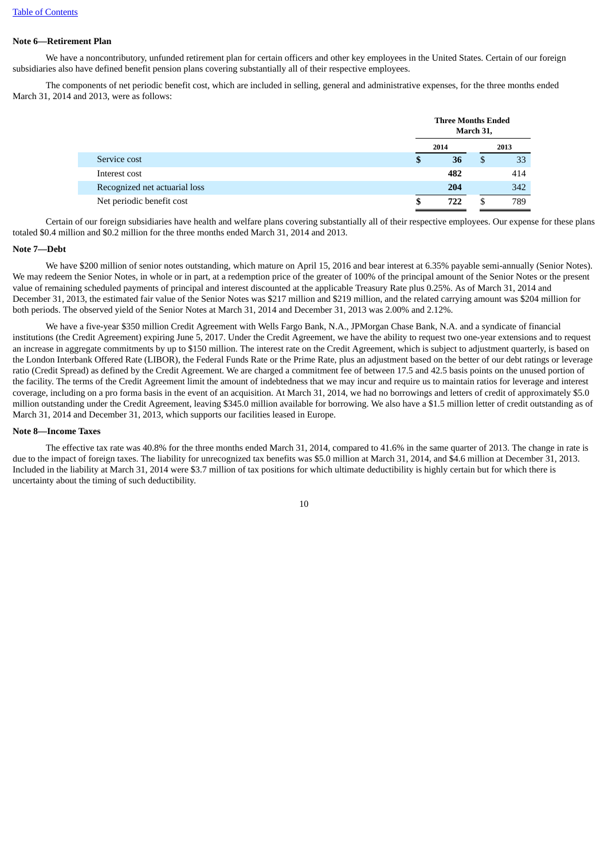### **Note 6—Retirement Plan**

We have a noncontributory, unfunded retirement plan for certain officers and other key employees in the United States. Certain of our foreign subsidiaries also have defined benefit pension plans covering substantially all of their respective employees.

The components of net periodic benefit cost, which are included in selling, general and administrative expenses, for the three months ended March 31, 2014 and 2013, were as follows:

|                               |          | <b>Three Months Ended</b><br>March 31, |   |      |  |  |
|-------------------------------|----------|----------------------------------------|---|------|--|--|
|                               |          | 2014                                   |   | 2013 |  |  |
| Service cost                  | <b>S</b> | 36                                     | S | 33   |  |  |
| Interest cost                 |          | 482                                    |   | 414  |  |  |
| Recognized net actuarial loss |          | 204                                    |   | 342  |  |  |
| Net periodic benefit cost     |          | 722                                    | S | 789  |  |  |

Certain of our foreign subsidiaries have health and welfare plans covering substantially all of their respective employees. Our expense for these plans totaled \$0.4 million and \$0.2 million for the three months ended March 31, 2014 and 2013.

#### **Note 7—Debt**

We have \$200 million of senior notes outstanding, which mature on April 15, 2016 and bear interest at 6.35% payable semi-annually (Senior Notes). We may redeem the Senior Notes, in whole or in part, at a redemption price of the greater of 100% of the principal amount of the Senior Notes or the present value of remaining scheduled payments of principal and interest discounted at the applicable Treasury Rate plus 0.25%. As of March 31, 2014 and December 31, 2013, the estimated fair value of the Senior Notes was \$217 million and \$219 million, and the related carrying amount was \$204 million for both periods. The observed yield of the Senior Notes at March 31, 2014 and December 31, 2013 was 2.00% and 2.12%.

We have a five-year \$350 million Credit Agreement with Wells Fargo Bank, N.A., JPMorgan Chase Bank, N.A. and a syndicate of financial institutions (the Credit Agreement) expiring June 5, 2017. Under the Credit Agreement, we have the ability to request two one-year extensions and to request an increase in aggregate commitments by up to \$150 million. The interest rate on the Credit Agreement, which is subject to adjustment quarterly, is based on the London Interbank Offered Rate (LIBOR), the Federal Funds Rate or the Prime Rate, plus an adjustment based on the better of our debt ratings or leverage ratio (Credit Spread) as defined by the Credit Agreement. We are charged a commitment fee of between 17.5 and 42.5 basis points on the unused portion of the facility. The terms of the Credit Agreement limit the amount of indebtedness that we may incur and require us to maintain ratios for leverage and interest coverage, including on a pro forma basis in the event of an acquisition. At March 31, 2014, we had no borrowings and letters of credit of approximately \$5.0 million outstanding under the Credit Agreement, leaving \$345.0 million available for borrowing. We also have a \$1.5 million letter of credit outstanding as of March 31, 2014 and December 31, 2013, which supports our facilities leased in Europe.

#### **Note 8—Income Taxes**

The effective tax rate was 40.8% for the three months ended March 31, 2014, compared to 41.6% in the same quarter of 2013. The change in rate is due to the impact of foreign taxes. The liability for unrecognized tax benefits was \$5.0 million at March 31, 2014, and \$4.6 million at December 31, 2013. Included in the liability at March 31, 2014 were \$3.7 million of tax positions for which ultimate deductibility is highly certain but for which there is uncertainty about the timing of such deductibility.

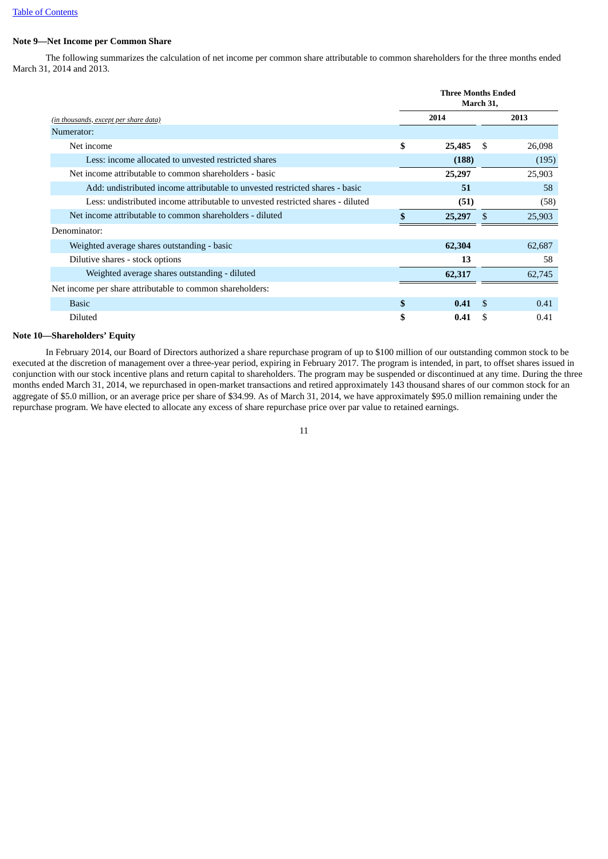### **Note 9—Net Income per Common Share**

The following summarizes the calculation of net income per common share attributable to common shareholders for the three months ended March 31, 2014 and 2013.

|                                                                                 |    | <b>Three Months Ended</b> | March 31, |        |
|---------------------------------------------------------------------------------|----|---------------------------|-----------|--------|
| (in thousands, except per share data)                                           |    | 2013                      |           |        |
| Numerator:                                                                      |    |                           |           |        |
| Net income                                                                      | \$ | 25,485                    | \$.       | 26,098 |
| Less: income allocated to unvested restricted shares                            |    | (188)                     |           | (195)  |
| Net income attributable to common shareholders - basic                          |    | 25,297                    |           | 25,903 |
| Add: undistributed income attributable to unvested restricted shares - basic    |    | 51                        |           | 58     |
| Less: undistributed income attributable to unvested restricted shares - diluted |    | (51)                      |           | (58)   |
| Net income attributable to common shareholders - diluted                        | \$ | 25,297                    | -\$       | 25,903 |
| Denominator:                                                                    |    |                           |           |        |
| Weighted average shares outstanding - basic                                     |    | 62,304                    |           | 62,687 |
| Dilutive shares - stock options                                                 |    | 13                        |           | 58     |
| Weighted average shares outstanding - diluted                                   |    | 62,317                    |           | 62,745 |
| Net income per share attributable to common shareholders:                       |    |                           |           |        |
| <b>Basic</b>                                                                    | \$ | 0.41                      | \$        | 0.41   |
| <b>Diluted</b>                                                                  | \$ | 0.41                      | \$        | 0.41   |

#### **Note 10—Shareholders' Equity**

In February 2014, our Board of Directors authorized a share repurchase program of up to \$100 million of our outstanding common stock to be executed at the discretion of management over a three-year period, expiring in February 2017. The program is intended, in part, to offset shares issued in conjunction with our stock incentive plans and return capital to shareholders. The program may be suspended or discontinued at any time. During the three months ended March 31, 2014, we repurchased in open-market transactions and retired approximately 143 thousand shares of our common stock for an aggregate of \$5.0 million, or an average price per share of \$34.99. As of March 31, 2014, we have approximately \$95.0 million remaining under the repurchase program. We have elected to allocate any excess of share repurchase price over par value to retained earnings.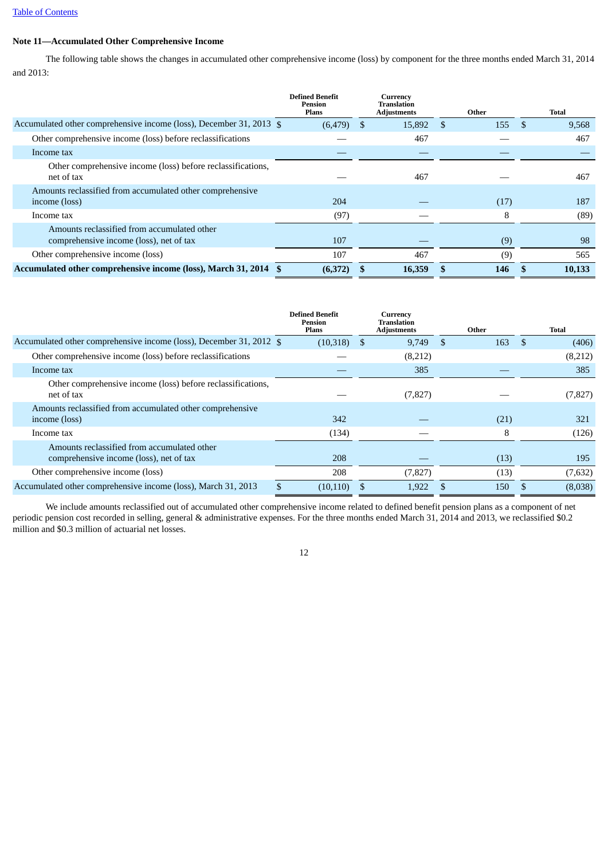### **Note 11—Accumulated Other Comprehensive Income**

The following table shows the changes in accumulated other comprehensive income (loss) by component for the three months ended March 31, 2014 and 2013:

|                                                                                        | <b>Defined Benefit</b><br><b>Pension</b><br><b>Plans</b> | Currency<br><b>Translation</b><br><b>Adjustments</b> | Other      | <b>Total</b>  |
|----------------------------------------------------------------------------------------|----------------------------------------------------------|------------------------------------------------------|------------|---------------|
| Accumulated other comprehensive income (loss), December 31, 2013 \$                    | (6, 479)                                                 | 15,892<br>-S                                         | 155<br>\$. | 9,568<br>- \$ |
| Other comprehensive income (loss) before reclassifications                             |                                                          | 467                                                  |            | 467           |
| Income tax                                                                             |                                                          |                                                      |            |               |
| Other comprehensive income (loss) before reclassifications,<br>net of tax              |                                                          | 467                                                  |            | 467           |
| Amounts reclassified from accumulated other comprehensive<br>income (loss)             | 204                                                      |                                                      | (17)       | 187           |
| Income tax                                                                             | (97)                                                     |                                                      | 8          | (89)          |
| Amounts reclassified from accumulated other<br>comprehensive income (loss), net of tax | 107                                                      |                                                      | (9)        | 98            |
| Other comprehensive income (loss)                                                      | 107                                                      | 467                                                  | (9)        | 565           |
| Accumulated other comprehensive income (loss), March 31, 2014 \$                       | (6,372)                                                  | 16,359                                               | 146        | 10,133        |

|                                                                                        | <b>Defined Benefit</b><br>Pension | Currency<br><b>Translation</b> |           |              |
|----------------------------------------------------------------------------------------|-----------------------------------|--------------------------------|-----------|--------------|
|                                                                                        | <b>Plans</b>                      | <b>Adjustments</b>             | Other     | <b>Total</b> |
| Accumulated other comprehensive income (loss), December 31, 2012 \$                    | $(10,318)$ \$                     | 9,749                          | 163<br>S. | (406)        |
| Other comprehensive income (loss) before reclassifications                             |                                   | (8,212)                        |           | (8,212)      |
| Income tax                                                                             |                                   | 385                            |           | 385          |
| Other comprehensive income (loss) before reclassifications,<br>net of tax              |                                   | (7, 827)                       |           | (7,827)      |
| Amounts reclassified from accumulated other comprehensive<br>income (loss)             | 342                               |                                | (21)      | 321          |
| Income tax                                                                             | (134)                             |                                | 8         | (126)        |
| Amounts reclassified from accumulated other<br>comprehensive income (loss), net of tax | 208                               |                                | (13)      | 195          |
| Other comprehensive income (loss)                                                      | 208                               | (7, 827)                       | (13)      | (7,632)      |
| Accumulated other comprehensive income (loss), March 31, 2013                          | (10, 110)<br>£.                   | 1,922                          | 150       | (8,038)      |

We include amounts reclassified out of accumulated other comprehensive income related to defined benefit pension plans as a component of net periodic pension cost recorded in selling, general & administrative expenses. For the three months ended March 31, 2014 and 2013, we reclassified \$0.2 million and \$0.3 million of actuarial net losses.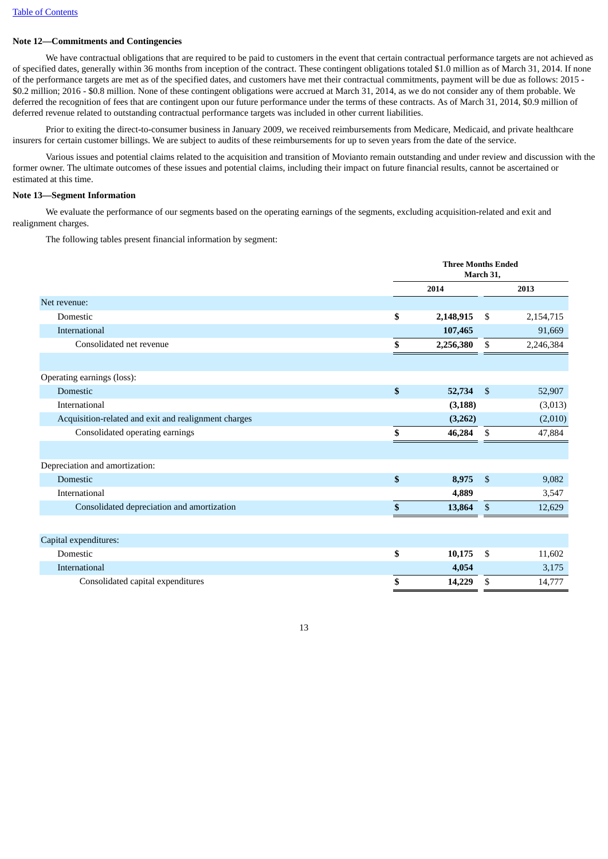### **Note 12—Commitments and Contingencies**

We have contractual obligations that are required to be paid to customers in the event that certain contractual performance targets are not achieved as of specified dates, generally within 36 months from inception of the contract. These contingent obligations totaled \$1.0 million as of March 31, 2014. If none of the performance targets are met as of the specified dates, and customers have met their contractual commitments, payment will be due as follows: 2015 - \$0.2 million; 2016 - \$0.8 million. None of these contingent obligations were accrued at March 31, 2014, as we do not consider any of them probable. We deferred the recognition of fees that are contingent upon our future performance under the terms of these contracts. As of March 31, 2014, \$0.9 million of deferred revenue related to outstanding contractual performance targets was included in other current liabilities.

Prior to exiting the direct-to-consumer business in January 2009, we received reimbursements from Medicare, Medicaid, and private healthcare insurers for certain customer billings. We are subject to audits of these reimbursements for up to seven years from the date of the service.

Various issues and potential claims related to the acquisition and transition of Movianto remain outstanding and under review and discussion with the former owner. The ultimate outcomes of these issues and potential claims, including their impact on future financial results, cannot be ascertained or estimated at this time.

#### **Note 13—Segment Information**

We evaluate the performance of our segments based on the operating earnings of the segments, excluding acquisition-related and exit and realignment charges.

The following tables present financial information by segment:

|                                                      | <b>Three Months Ended</b><br>March 31, |              |           |  |  |  |
|------------------------------------------------------|----------------------------------------|--------------|-----------|--|--|--|
|                                                      | 2014                                   |              | 2013      |  |  |  |
| Net revenue:                                         |                                        |              |           |  |  |  |
| Domestic                                             | \$<br>2,148,915                        | \$           | 2,154,715 |  |  |  |
| International                                        | 107,465                                |              | 91,669    |  |  |  |
| Consolidated net revenue                             | \$<br>2,256,380                        | \$           | 2,246,384 |  |  |  |
|                                                      |                                        |              |           |  |  |  |
| Operating earnings (loss):                           |                                        |              |           |  |  |  |
| <b>Domestic</b>                                      | \$<br>52,734                           | $\mathbb{S}$ | 52,907    |  |  |  |
| International                                        | (3, 188)                               |              | (3,013)   |  |  |  |
| Acquisition-related and exit and realignment charges | (3,262)                                |              | (2,010)   |  |  |  |
| Consolidated operating earnings                      | \$<br>46,284                           | \$           | 47,884    |  |  |  |
|                                                      |                                        |              |           |  |  |  |
| Depreciation and amortization:                       |                                        |              |           |  |  |  |
| <b>Domestic</b>                                      | \$<br>8,975                            | $\mathbf{s}$ | 9,082     |  |  |  |
| International                                        | 4,889                                  |              | 3,547     |  |  |  |
| Consolidated depreciation and amortization           | \$<br>13,864                           | \$           | 12,629    |  |  |  |
|                                                      |                                        |              |           |  |  |  |
| Capital expenditures:                                |                                        |              |           |  |  |  |
| Domestic                                             | \$<br>10,175                           | \$           | 11,602    |  |  |  |
| International                                        | 4,054                                  |              | 3,175     |  |  |  |
| Consolidated capital expenditures                    | \$<br>14,229                           | \$           | 14,777    |  |  |  |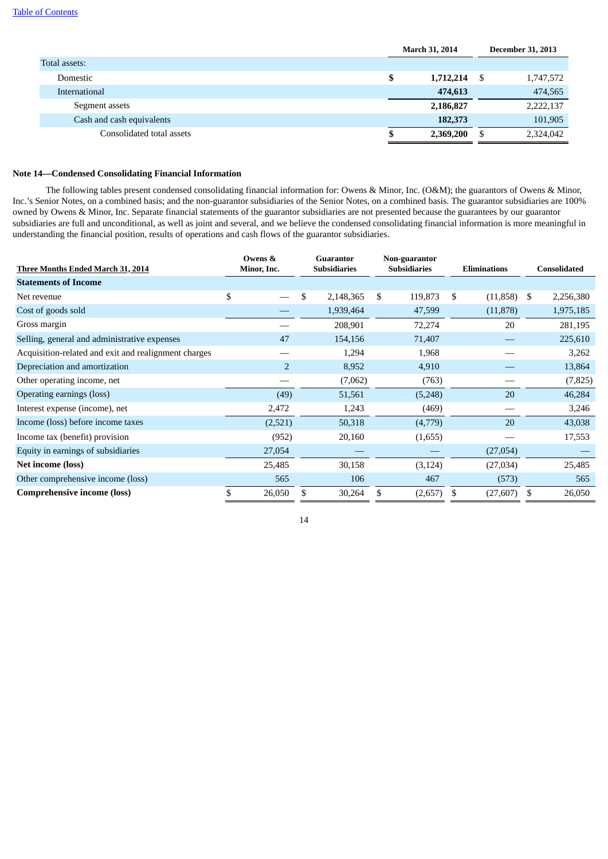|                           |    | <b>March 31, 2014</b> |      | <b>December 31, 2013</b> |
|---------------------------|----|-----------------------|------|--------------------------|
| Total assets:             |    |                       |      |                          |
| Domestic                  | \$ | 1,712,214             | - \$ | 1,747,572                |
| <b>International</b>      |    | 474,613               |      | 474,565                  |
| Segment assets            |    | 2,186,827             |      | 2,222,137                |
| Cash and cash equivalents |    | 182,373               |      | 101,905                  |
| Consolidated total assets | S  | 2,369,200             | -S   | 2,324,042                |
|                           |    |                       |      |                          |

### **Note 14—Condensed Consolidating Financial Information**

The following tables present condensed consolidating financial information for: Owens & Minor, Inc. (O&M); the guarantors of Owens & Minor, Inc.'s Senior Notes, on a combined basis; and the non-guarantor subsidiaries of the Senior Notes, on a combined basis. The guarantor subsidiaries are 100% owned by Owens & Minor, Inc. Separate financial statements of the guarantor subsidiaries are not presented because the guarantees by our guarantor subsidiaries are full and unconditional, as well as joint and several, and we believe the condensed consolidating financial information is more meaningful in understanding the financial position, results of operations and cash flows of the guarantor subsidiaries.

|                                                      | Owens &        |     | Guarantor           |     | Non-guarantor       |     |                     |    |                     |
|------------------------------------------------------|----------------|-----|---------------------|-----|---------------------|-----|---------------------|----|---------------------|
| Three Months Ended March 31, 2014                    | Minor, Inc.    |     | <b>Subsidiaries</b> |     | <b>Subsidiaries</b> |     | <b>Eliminations</b> |    | <b>Consolidated</b> |
| <b>Statements of Income</b>                          |                |     |                     |     |                     |     |                     |    |                     |
| Net revenue                                          | \$             | \$. | 2,148,365           | \$. | 119,873             | \$. | (11,858)            | \$ | 2,256,380           |
| Cost of goods sold                                   |                |     | 1,939,464           |     | 47,599              |     | (11, 878)           |    | 1,975,185           |
| Gross margin                                         |                |     | 208,901             |     | 72,274              |     | 20                  |    | 281,195             |
| Selling, general and administrative expenses         | 47             |     | 154,156             |     | 71,407              |     |                     |    | 225,610             |
| Acquisition-related and exit and realignment charges |                |     | 1,294               |     | 1,968               |     |                     |    | 3,262               |
| Depreciation and amortization                        | $\overline{2}$ |     | 8,952               |     | 4,910               |     |                     |    | 13,864              |
| Other operating income, net                          |                |     | (7,062)             |     | (763)               |     |                     |    | (7, 825)            |
| Operating earnings (loss)                            | (49)           |     | 51,561              |     | (5,248)             |     | 20                  |    | 46,284              |
| Interest expense (income), net                       | 2,472          |     | 1,243               |     | (469)               |     |                     |    | 3,246               |
| Income (loss) before income taxes                    | (2,521)        |     | 50,318              |     | (4,779)             |     | 20                  |    | 43,038              |
| Income tax (benefit) provision                       | (952)          |     | 20,160              |     | (1,655)             |     |                     |    | 17,553              |
| Equity in earnings of subsidiaries                   | 27,054         |     |                     |     |                     |     | (27,054)            |    |                     |
| <b>Net income (loss)</b>                             | 25,485         |     | 30,158              |     | (3, 124)            |     | (27,034)            |    | 25,485              |
| Other comprehensive income (loss)                    | 565            |     | 106                 |     | 467                 |     | (573)               |    | 565                 |
| <b>Comprehensive income (loss)</b>                   | \$<br>26,050   | \$  | 30,264              | \$  | (2,657)             | S   | (27, 607)           | S. | 26,050              |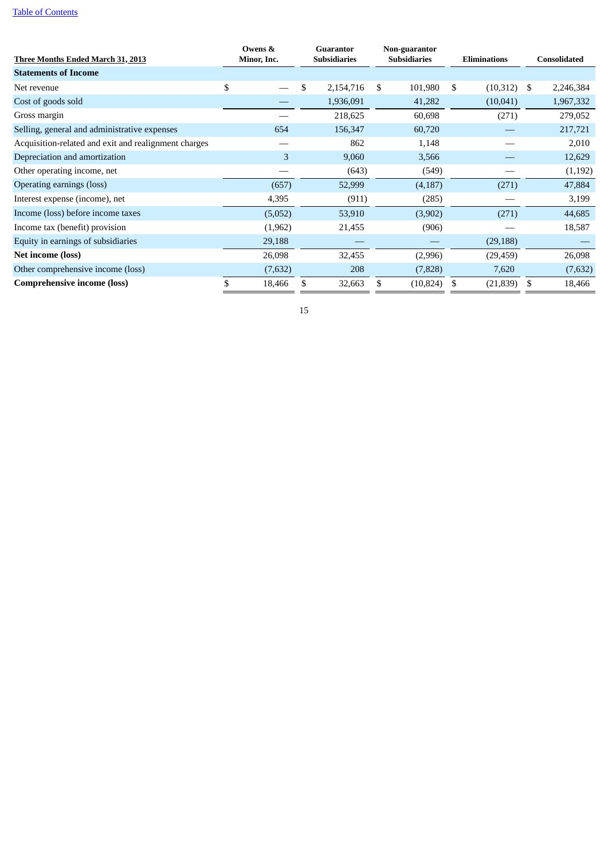# Table of [Contents](#page-0-0)

| <u>Three Months Ended March 31, 2013</u>             |     | Owens &<br>Minor, Inc. | Guarantor<br><b>Subsidiaries</b> |     | Non-guarantor<br><b>Subsidiaries</b> | <b>Eliminations</b> |   | Consolidated |
|------------------------------------------------------|-----|------------------------|----------------------------------|-----|--------------------------------------|---------------------|---|--------------|
| <b>Statements of Income</b>                          |     |                        |                                  |     |                                      |                     |   |              |
| Net revenue                                          | \$  |                        | \$<br>2,154,716                  | \$. | 101,980                              | \$<br>(10,312)      | S | 2,246,384    |
| Cost of goods sold                                   |     |                        | 1,936,091                        |     | 41,282                               | (10,041)            |   | 1,967,332    |
| Gross margin                                         |     |                        | 218,625                          |     | 60,698                               | (271)               |   | 279,052      |
| Selling, general and administrative expenses         |     | 654                    | 156,347                          |     | 60,720                               |                     |   | 217,721      |
| Acquisition-related and exit and realignment charges |     |                        | 862                              |     | 1,148                                |                     |   | 2,010        |
| Depreciation and amortization                        |     | 3                      | 9,060                            |     | 3,566                                |                     |   | 12,629       |
| Other operating income, net                          |     |                        | (643)                            |     | (549)                                |                     |   | (1, 192)     |
| Operating earnings (loss)                            |     | (657)                  | 52,999                           |     | (4, 187)                             | (271)               |   | 47,884       |
| Interest expense (income), net                       |     | 4,395                  | (911)                            |     | (285)                                |                     |   | 3,199        |
| Income (loss) before income taxes                    |     | (5,052)                | 53,910                           |     | (3,902)                              | (271)               |   | 44,685       |
| Income tax (benefit) provision                       |     | (1,962)                | 21,455                           |     | (906)                                |                     |   | 18,587       |
| Equity in earnings of subsidiaries                   |     | 29,188                 |                                  |     |                                      | (29, 188)           |   |              |
| <b>Net income (loss)</b>                             |     | 26,098                 | 32,455                           |     | (2,996)                              | (29, 459)           |   | 26,098       |
| Other comprehensive income (loss)                    |     | (7,632)                | 208                              |     | (7,828)                              | 7,620               |   | (7,632)      |
| Comprehensive income (loss)                          | \$. | 18,466                 | 32,663                           |     | (10, 824)                            | (21, 839)           | S | 18,466       |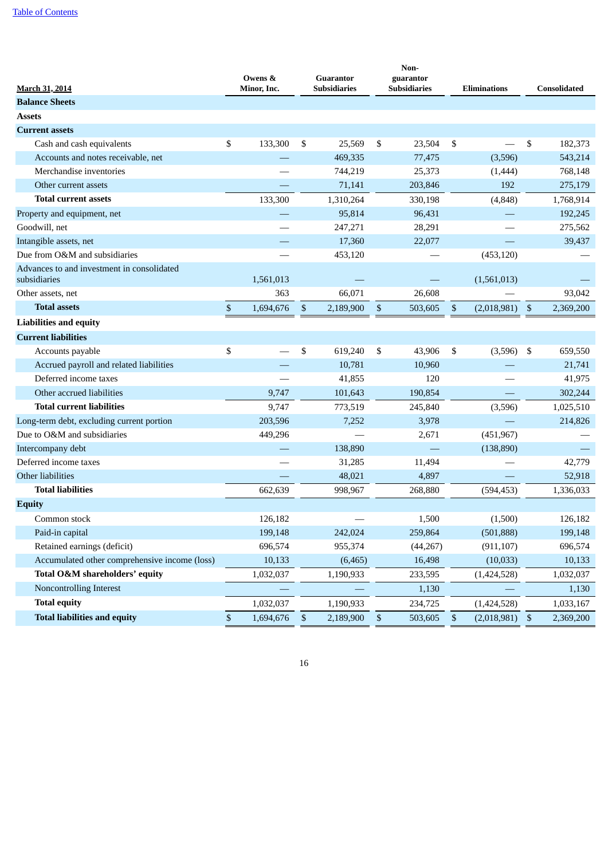| <b>March 31, 2014</b>                         | Owens &<br>Minor, Inc. |                | Guarantor<br><b>Subsidiaries</b> |                | Non-<br>guarantor<br><b>Subsidiaries</b> | <b>Eliminations</b>    | <b>Consolidated</b> |
|-----------------------------------------------|------------------------|----------------|----------------------------------|----------------|------------------------------------------|------------------------|---------------------|
| <b>Balance Sheets</b>                         |                        |                |                                  |                |                                          |                        |                     |
| <b>Assets</b>                                 |                        |                |                                  |                |                                          |                        |                     |
| <b>Current assets</b>                         |                        |                |                                  |                |                                          |                        |                     |
| Cash and cash equivalents                     | \$<br>133,300          | \$             | 25,569                           | \$             | 23,504                                   | \$                     | \$<br>182,373       |
| Accounts and notes receivable, net            |                        |                | 469,335                          |                | 77,475                                   | (3,596)                | 543,214             |
| Merchandise inventories                       |                        |                | 744,219                          |                | 25,373                                   | (1,444)                | 768,148             |
| Other current assets                          |                        |                | 71,141                           |                | 203,846                                  | 192                    | 275,179             |
| <b>Total current assets</b>                   | 133,300                |                | 1,310,264                        |                | 330,198                                  | (4, 848)               | 1,768,914           |
| Property and equipment, net                   |                        |                | 95,814                           |                | 96,431                                   |                        | 192,245             |
| Goodwill, net                                 |                        |                | 247,271                          |                | 28,291                                   |                        | 275,562             |
| Intangible assets, net                        |                        |                | 17,360                           |                | 22,077                                   |                        | 39,437              |
| Due from O&M and subsidiaries                 |                        |                | 453,120                          |                |                                          | (453, 120)             |                     |
| Advances to and investment in consolidated    |                        |                |                                  |                |                                          |                        |                     |
| subsidiaries                                  | 1,561,013              |                |                                  |                |                                          | (1,561,013)            |                     |
| Other assets, net                             | 363                    |                | 66,071                           |                | 26,608                                   |                        | 93,042              |
| <b>Total assets</b>                           | \$<br>1,694,676        | $\mathfrak{S}$ | 2,189,900                        | \$             | 503,605                                  | \$<br>(2,018,981)      | \$<br>2,369,200     |
| <b>Liabilities and equity</b>                 |                        |                |                                  |                |                                          |                        |                     |
| <b>Current liabilities</b>                    |                        |                |                                  |                |                                          |                        |                     |
| Accounts payable                              | \$                     | \$             | 619,240                          | \$             | 43,906                                   | \$<br>(3,596)          | \$<br>659,550       |
| Accrued payroll and related liabilities       |                        |                | 10,781                           |                | 10,960                                   |                        | 21,741              |
| Deferred income taxes                         |                        |                | 41,855                           |                | 120                                      |                        | 41,975              |
| Other accrued liabilities                     | 9,747                  |                | 101,643                          |                | 190,854                                  |                        | 302,244             |
| <b>Total current liabilities</b>              | 9,747                  |                | 773,519                          |                | 245,840                                  | (3,596)                | 1,025,510           |
| Long-term debt, excluding current portion     | 203,596                |                | 7,252                            |                | 3,978                                    |                        | 214,826             |
| Due to O&M and subsidiaries                   | 449,296                |                |                                  |                | 2,671                                    | (451, 967)             |                     |
| Intercompany debt                             |                        |                | 138,890                          |                |                                          | (138, 890)             |                     |
| Deferred income taxes                         |                        |                | 31,285                           |                | 11,494                                   |                        | 42,779              |
| Other liabilities                             |                        |                | 48,021                           |                | 4,897                                    |                        | 52,918              |
| <b>Total liabilities</b>                      | 662,639                |                | 998,967                          |                | 268.880                                  | (594, 453)             | 1,336,033           |
| <b>Equity</b>                                 |                        |                |                                  |                |                                          |                        |                     |
| Common stock                                  | 126,182                |                |                                  |                | 1,500                                    | (1,500)                | 126,182             |
| Paid-in capital                               | 199,148                |                | 242,024                          |                | 259,864                                  | (501, 888)             | 199,148             |
| Retained earnings (deficit)                   | 696,574                |                | 955,374                          |                | (44, 267)                                | (911, 107)             | 696,574             |
| Accumulated other comprehensive income (loss) | 10,133                 |                | (6, 465)                         |                | 16,498                                   | (10, 033)              | 10,133              |
| Total O&M shareholders' equity                | 1,032,037              |                | 1,190,933                        |                | 233,595                                  | (1,424,528)            | 1,032,037           |
| Noncontrolling Interest                       |                        |                |                                  |                | 1,130                                    |                        | 1,130               |
| <b>Total equity</b>                           | 1,032,037              |                | 1,190,933                        |                | 234,725                                  | (1,424,528)            | 1,033,167           |
| <b>Total liabilities and equity</b>           | \$<br>1,694,676        | $\mathfrak{S}$ | 2,189,900                        | $$\mathbb{S}$$ | 503,605                                  | \$<br>$(2,018,981)$ \$ | 2,369,200           |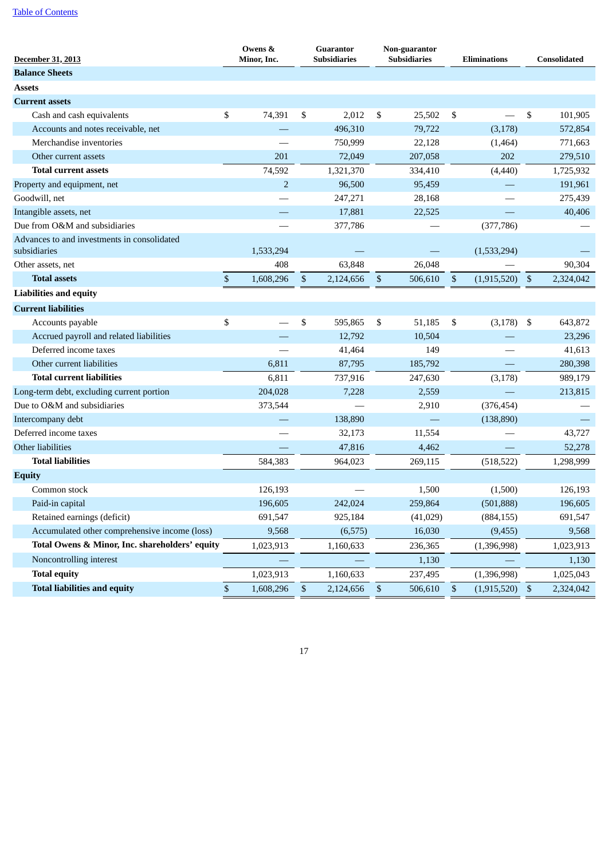# Table of [Contents](#page-0-0)

| <b>December 31, 2013</b>                       | Owens &<br>Minor, Inc. | <b>Guarantor</b><br><b>Subsidiaries</b> |              | Non-guarantor<br><b>Subsidiaries</b> | <b>Eliminations</b> |            | <b>Consolidated</b> |
|------------------------------------------------|------------------------|-----------------------------------------|--------------|--------------------------------------|---------------------|------------|---------------------|
| <b>Balance Sheets</b>                          |                        |                                         |              |                                      |                     |            |                     |
| <b>Assets</b>                                  |                        |                                         |              |                                      |                     |            |                     |
| <b>Current assets</b>                          |                        |                                         |              |                                      |                     |            |                     |
| Cash and cash equivalents                      | \$<br>74,391           | \$<br>2,012                             | \$           | 25,502                               | \$                  | \$         | 101,905             |
| Accounts and notes receivable, net             |                        | 496,310                                 |              | 79,722                               | (3,178)             |            | 572,854             |
| Merchandise inventories                        |                        | 750,999                                 |              | 22,128                               | (1,464)             |            | 771,663             |
| Other current assets                           | 201                    | 72,049                                  |              | 207,058                              | 202                 |            | 279,510             |
| <b>Total current assets</b>                    | 74,592                 | 1,321,370                               |              | 334,410                              | (4, 440)            |            | 1,725,932           |
| Property and equipment, net                    | $\overline{2}$         | 96,500                                  |              | 95,459                               |                     |            | 191,961             |
| Goodwill, net                                  |                        | 247,271                                 |              | 28,168                               |                     |            | 275,439             |
| Intangible assets, net                         |                        | 17,881                                  |              | 22,525                               |                     |            | 40,406              |
| Due from O&M and subsidiaries                  |                        | 377,786                                 |              |                                      | (377, 786)          |            |                     |
| Advances to and investments in consolidated    |                        |                                         |              |                                      |                     |            |                     |
| subsidiaries                                   | 1,533,294              |                                         |              |                                      | (1,533,294)         |            |                     |
| Other assets, net                              | 408                    | 63,848                                  |              | 26.048                               |                     |            | 90,304              |
| <b>Total assets</b>                            | \$<br>1,608,296        | \$<br>2,124,656                         | $\mathbb{S}$ | 506,610                              | \$<br>(1,915,520)   | $\sqrt{3}$ | 2,324,042           |
| <b>Liabilities and equity</b>                  |                        |                                         |              |                                      |                     |            |                     |
| <b>Current liabilities</b>                     |                        |                                         |              |                                      |                     |            |                     |
| Accounts payable                               | \$                     | \$<br>595,865                           | \$           | 51,185                               | \$<br>(3, 178)      | - \$       | 643,872             |
| Accrued payroll and related liabilities        |                        | 12,792                                  |              | 10,504                               |                     |            | 23,296              |
| Deferred income taxes                          |                        | 41,464                                  |              | 149                                  |                     |            | 41,613              |
| Other current liabilities                      | 6,811                  | 87,795                                  |              | 185,792                              |                     |            | 280,398             |
| <b>Total current liabilities</b>               | 6,811                  | 737,916                                 |              | 247,630                              | (3,178)             |            | 989,179             |
| Long-term debt, excluding current portion      | 204,028                | 7,228                                   |              | 2,559                                |                     |            | 213,815             |
| Due to O&M and subsidiaries                    | 373,544                |                                         |              | 2,910                                | (376, 454)          |            |                     |
| Intercompany debt                              |                        | 138,890                                 |              |                                      | (138, 890)          |            |                     |
| Deferred income taxes                          |                        | 32,173                                  |              | 11,554                               |                     |            | 43,727              |
| Other liabilities                              |                        | 47,816                                  |              | 4,462                                |                     |            | 52,278              |
| <b>Total liabilities</b>                       | 584,383                | 964,023                                 |              | 269,115                              | (518, 522)          |            | 1,298,999           |
| <b>Equity</b>                                  |                        |                                         |              |                                      |                     |            |                     |
| Common stock                                   | 126,193                |                                         |              | 1,500                                | (1,500)             |            | 126,193             |
| Paid-in capital                                | 196,605                | 242,024                                 |              | 259,864                              | (501, 888)          |            | 196,605             |
| Retained earnings (deficit)                    | 691,547                | 925,184                                 |              | (41,029)                             | (884, 155)          |            | 691,547             |
| Accumulated other comprehensive income (loss)  | 9,568                  | (6, 575)                                |              | 16,030                               | (9, 455)            |            | 9,568               |
| Total Owens & Minor, Inc. shareholders' equity | 1,023,913              | 1,160,633                               |              | 236,365                              | (1,396,998)         |            | 1,023,913           |
| Noncontrolling interest                        |                        |                                         |              | 1,130                                |                     |            | 1,130               |
| <b>Total equity</b>                            | 1,023,913              | 1,160,633                               |              | 237,495                              | (1,396,998)         |            | 1,025,043           |
| <b>Total liabilities and equity</b>            | \$<br>1,608,296        | \$<br>2,124,656                         | \$           | 506,610                              | \$<br>(1,915,520)   | $\sqrt{3}$ | 2,324,042           |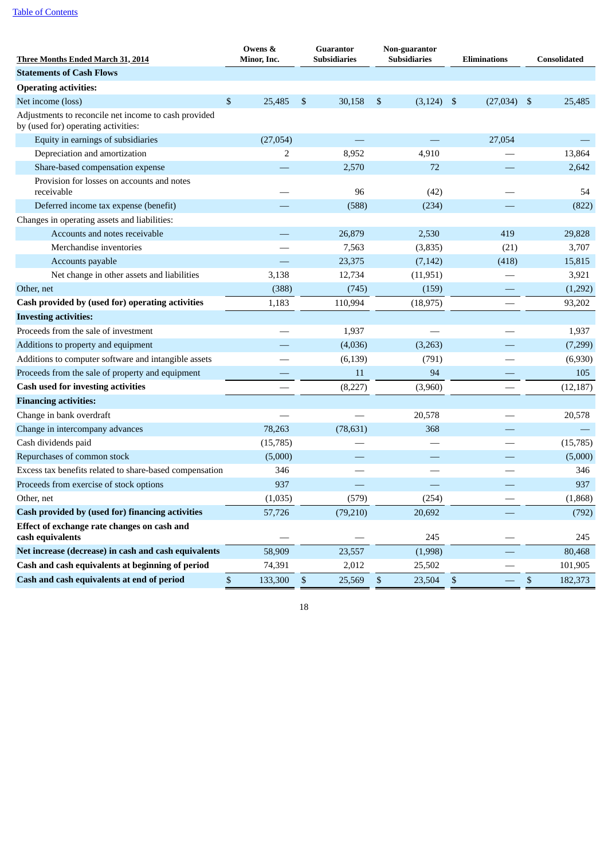| <b>Three Months Ended March 31, 2014</b>                                                    |              | Owens &<br>Minor, Inc. |                           | <b>Guarantor</b><br><b>Subsidiaries</b> |              | Non-guarantor<br><b>Subsidiaries</b> |                | <b>Eliminations</b> |              | <b>Consolidated</b> |
|---------------------------------------------------------------------------------------------|--------------|------------------------|---------------------------|-----------------------------------------|--------------|--------------------------------------|----------------|---------------------|--------------|---------------------|
| <b>Statements of Cash Flows</b>                                                             |              |                        |                           |                                         |              |                                      |                |                     |              |                     |
| <b>Operating activities:</b>                                                                |              |                        |                           |                                         |              |                                      |                |                     |              |                     |
| Net income (loss)                                                                           | \$           | 25,485                 | \$                        | 30,158                                  | \$           | $(3,124)$ \$                         |                | (27, 034)           | \$           | 25,485              |
| Adjustments to reconcile net income to cash provided<br>by (used for) operating activities: |              |                        |                           |                                         |              |                                      |                |                     |              |                     |
| Equity in earnings of subsidiaries                                                          |              | (27,054)               |                           |                                         |              |                                      |                | 27,054              |              |                     |
| Depreciation and amortization                                                               |              | 2                      |                           | 8,952                                   |              | 4,910                                |                |                     |              | 13,864              |
| Share-based compensation expense                                                            |              |                        |                           | 2,570                                   |              | 72                                   |                |                     |              | 2,642               |
| Provision for losses on accounts and notes<br>receivable                                    |              |                        |                           | 96                                      |              | (42)                                 |                |                     |              | 54                  |
| Deferred income tax expense (benefit)                                                       |              |                        |                           | (588)                                   |              | (234)                                |                |                     |              | (822)               |
| Changes in operating assets and liabilities:                                                |              |                        |                           |                                         |              |                                      |                |                     |              |                     |
| Accounts and notes receivable                                                               |              |                        |                           | 26,879                                  |              | 2,530                                |                | 419                 |              | 29,828              |
| Merchandise inventories                                                                     |              |                        |                           | 7,563                                   |              | (3,835)                              |                | (21)                |              | 3,707               |
| Accounts payable                                                                            |              |                        |                           | 23,375                                  |              | (7, 142)                             |                | (418)               |              | 15,815              |
| Net change in other assets and liabilities                                                  |              | 3,138                  |                           | 12,734                                  |              | (11, 951)                            |                |                     |              | 3,921               |
| Other, net                                                                                  |              | (388)                  |                           | (745)                                   |              | (159)                                |                |                     |              | (1,292)             |
| Cash provided by (used for) operating activities                                            |              | 1,183                  |                           | 110,994                                 |              | (18, 975)                            |                |                     |              | 93,202              |
| <b>Investing activities:</b>                                                                |              |                        |                           |                                         |              |                                      |                |                     |              |                     |
| Proceeds from the sale of investment                                                        |              |                        |                           | 1,937                                   |              |                                      |                |                     |              | 1,937               |
| Additions to property and equipment                                                         |              |                        |                           | (4,036)                                 |              | (3,263)                              |                |                     |              | (7,299)             |
| Additions to computer software and intangible assets                                        |              |                        |                           | (6, 139)                                |              | (791)                                |                |                     |              | (6,930)             |
| Proceeds from the sale of property and equipment                                            |              |                        |                           | 11                                      |              | 94                                   |                |                     |              | 105                 |
| <b>Cash used for investing activities</b>                                                   |              |                        |                           | (8,227)                                 |              | (3,960)                              |                |                     |              | (12, 187)           |
| <b>Financing activities:</b>                                                                |              |                        |                           |                                         |              |                                      |                |                     |              |                     |
| Change in bank overdraft                                                                    |              |                        |                           |                                         |              | 20,578                               |                |                     |              | 20,578              |
| Change in intercompany advances                                                             |              | 78,263                 |                           | (78, 631)                               |              | 368                                  |                |                     |              |                     |
| Cash dividends paid                                                                         |              | (15,785)               |                           |                                         |              |                                      |                |                     |              | (15,785)            |
| Repurchases of common stock                                                                 |              | (5,000)                |                           |                                         |              |                                      |                |                     |              | (5,000)             |
| Excess tax benefits related to share-based compensation                                     |              | 346                    |                           |                                         |              |                                      |                |                     |              | 346                 |
| Proceeds from exercise of stock options                                                     |              | 937                    |                           |                                         |              |                                      |                |                     |              | 937                 |
| Other, net                                                                                  |              | (1,035)                |                           | (579)                                   |              | (254)                                |                |                     |              | (1,868)             |
| Cash provided by (used for) financing activities                                            |              | 57,726                 |                           | (79,210)                                |              | 20,692                               |                |                     |              | (792)               |
| Effect of exchange rate changes on cash and<br>cash equivalents                             |              |                        |                           |                                         |              | 245                                  |                |                     |              | 245                 |
| Net increase (decrease) in cash and cash equivalents                                        |              | 58,909                 |                           | 23,557                                  |              | (1,998)                              |                |                     |              | 80,468              |
| Cash and cash equivalents at beginning of period                                            |              | 74,391                 |                           | 2,012                                   |              | 25,502                               |                |                     |              | 101,905             |
| Cash and cash equivalents at end of period                                                  | $\mathbb{S}$ | 133,300                | $\boldsymbol{\mathsf{S}}$ | 25,569                                  | $\mathbb{S}$ | 23,504                               | $\mathfrak{S}$ |                     | $\mathbb{S}$ | 182,373             |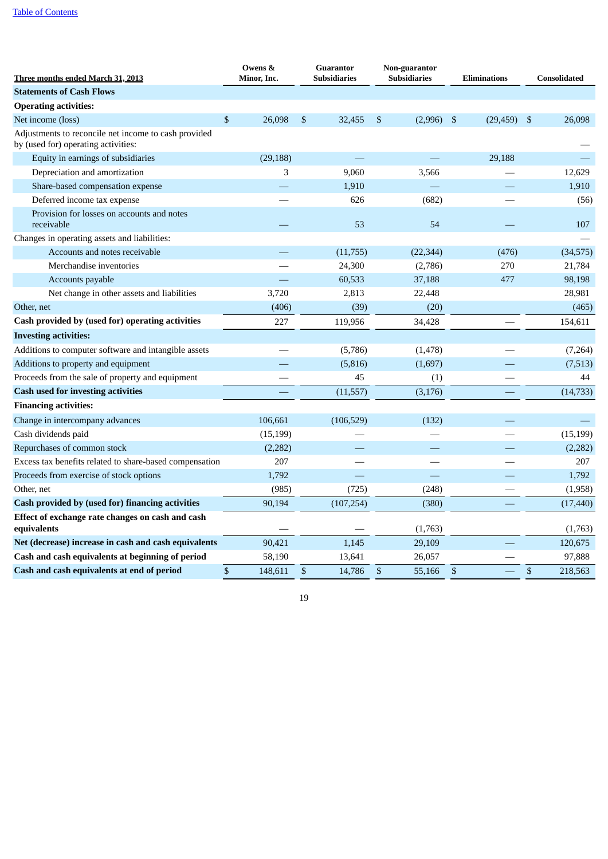| Three months ended March 31, 2013                                                           | Owens &<br>Minor, Inc. |              | <b>Guarantor</b><br><b>Subsidiaries</b> | Non-guarantor<br><b>Subsidiaries</b> |                           | <b>Eliminations</b> | <b>Consolidated</b> |
|---------------------------------------------------------------------------------------------|------------------------|--------------|-----------------------------------------|--------------------------------------|---------------------------|---------------------|---------------------|
| <b>Statements of Cash Flows</b>                                                             |                        |              |                                         |                                      |                           |                     |                     |
| <b>Operating activities:</b>                                                                |                        |              |                                         |                                      |                           |                     |                     |
| Net income (loss)                                                                           | \$<br>26,098           | \$           | 32,455                                  | \$<br>(2,996)                        | \$                        | $(29, 459)$ \$      | 26,098              |
| Adjustments to reconcile net income to cash provided<br>by (used for) operating activities: |                        |              |                                         |                                      |                           |                     |                     |
| Equity in earnings of subsidiaries                                                          | (29, 188)              |              |                                         |                                      |                           | 29,188              |                     |
| Depreciation and amortization                                                               | 3                      |              | 9,060                                   | 3,566                                |                           |                     | 12,629              |
| Share-based compensation expense                                                            |                        |              | 1,910                                   |                                      |                           |                     | 1,910               |
| Deferred income tax expense                                                                 |                        |              | 626                                     | (682)                                |                           |                     | (56)                |
| Provision for losses on accounts and notes<br>receivable                                    |                        |              | 53                                      | 54                                   |                           |                     | 107                 |
| Changes in operating assets and liabilities:                                                |                        |              |                                         |                                      |                           |                     |                     |
| Accounts and notes receivable                                                               |                        |              | (11, 755)                               | (22, 344)                            |                           | (476)               | (34, 575)           |
| Merchandise inventories                                                                     |                        |              | 24,300                                  | (2,786)                              |                           | 270                 | 21,784              |
| Accounts payable                                                                            |                        |              | 60,533                                  | 37,188                               |                           | 477                 | 98,198              |
| Net change in other assets and liabilities                                                  | 3,720                  |              | 2,813                                   | 22,448                               |                           |                     | 28,981              |
| Other, net                                                                                  | (406)                  |              | (39)                                    | (20)                                 |                           |                     | (465)               |
| Cash provided by (used for) operating activities                                            | 227                    |              | 119,956                                 | 34,428                               |                           |                     | 154,611             |
| <b>Investing activities:</b>                                                                |                        |              |                                         |                                      |                           |                     |                     |
| Additions to computer software and intangible assets                                        |                        |              | (5,786)                                 | (1, 478)                             |                           |                     | (7,264)             |
| Additions to property and equipment                                                         |                        |              | (5,816)                                 | (1,697)                              |                           |                     | (7,513)             |
| Proceeds from the sale of property and equipment                                            |                        |              | 45                                      | (1)                                  |                           |                     | 44                  |
| <b>Cash used for investing activities</b>                                                   |                        |              | (11, 557)                               | (3, 176)                             |                           |                     | (14, 733)           |
| <b>Financing activities:</b>                                                                |                        |              |                                         |                                      |                           |                     |                     |
| Change in intercompany advances                                                             | 106,661                |              | (106, 529)                              | (132)                                |                           |                     |                     |
| Cash dividends paid                                                                         | (15, 199)              |              |                                         |                                      |                           |                     | (15, 199)           |
| Repurchases of common stock                                                                 | (2, 282)               |              |                                         |                                      |                           |                     | (2, 282)            |
| Excess tax benefits related to share-based compensation                                     | 207                    |              |                                         |                                      |                           |                     | 207                 |
| Proceeds from exercise of stock options                                                     | 1,792                  |              |                                         |                                      |                           |                     | 1,792               |
| Other, net                                                                                  | (985)                  |              | (725)                                   | (248)                                |                           |                     | (1,958)             |
| Cash provided by (used for) financing activities                                            | 90,194                 |              | (107, 254)                              | (380)                                |                           |                     | (17, 440)           |
| Effect of exchange rate changes on cash and cash<br>equivalents                             |                        |              |                                         | (1,763)                              |                           |                     | (1,763)             |
| Net (decrease) increase in cash and cash equivalents                                        | 90,421                 |              | 1,145                                   | 29,109                               |                           |                     | 120,675             |
| Cash and cash equivalents at beginning of period                                            | 58,190                 |              | 13,641                                  | 26,057                               |                           |                     | 97,888              |
| Cash and cash equivalents at end of period                                                  | \$<br>148,611          | $\mathbb{S}$ | 14,786                                  | \$<br>55,166                         | $\boldsymbol{\mathsf{S}}$ |                     | \$<br>218,563       |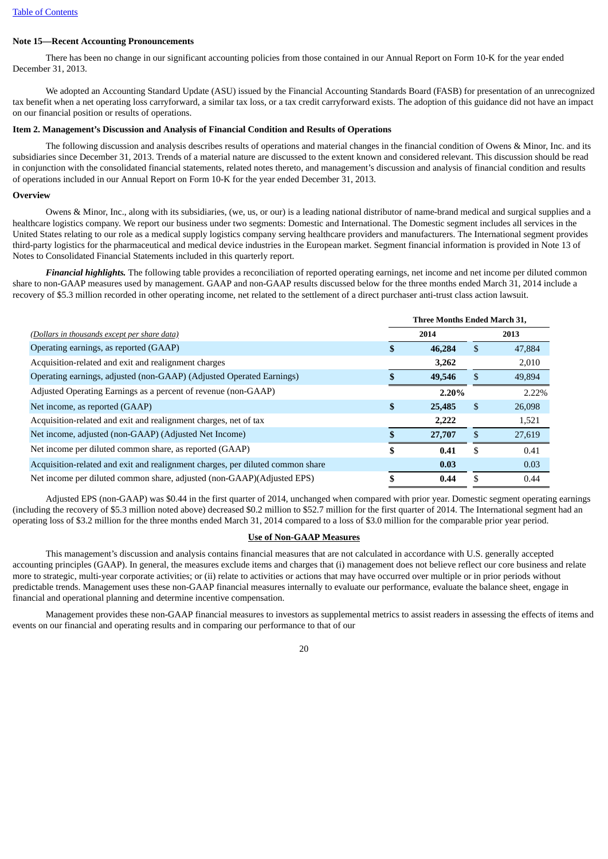#### **Note 15—Recent Accounting Pronouncements**

There has been no change in our significant accounting policies from those contained in our Annual Report on Form 10-K for the year ended December 31, 2013.

We adopted an Accounting Standard Update (ASU) issued by the Financial Accounting Standards Board (FASB) for presentation of an unrecognized tax benefit when a net operating loss carryforward, a similar tax loss, or a tax credit carryforward exists. The adoption of this guidance did not have an impact on our financial position or results of operations.

### <span id="page-19-0"></span>**Item 2. Management's Discussion and Analysis of Financial Condition and Results of Operations**

The following discussion and analysis describes results of operations and material changes in the financial condition of Owens & Minor, Inc. and its subsidiaries since December 31, 2013. Trends of a material nature are discussed to the extent known and considered relevant. This discussion should be read in conjunction with the consolidated financial statements, related notes thereto, and management's discussion and analysis of financial condition and results of operations included in our Annual Report on Form 10-K for the year ended December 31, 2013.

### **Overview**

Owens & Minor, Inc., along with its subsidiaries, (we, us, or our) is a leading national distributor of name-brand medical and surgical supplies and a healthcare logistics company. We report our business under two segments: Domestic and International. The Domestic segment includes all services in the United States relating to our role as a medical supply logistics company serving healthcare providers and manufacturers. The International segment provides third-party logistics for the pharmaceutical and medical device industries in the European market. Segment financial information is provided in Note 13 of Notes to Consolidated Financial Statements included in this quarterly report.

*Financial highlights.* The following table provides a reconciliation of reported operating earnings, net income and net income per diluted common share to non-GAAP measures used by management. GAAP and non-GAAP results discussed below for the three months ended March 31, 2014 include a recovery of \$5.3 million recorded in other operating income, net related to the settlement of a direct purchaser anti-trust class action lawsuit.

|                                                                                | Three Months Ended March 31, |        |    |        |  |  |
|--------------------------------------------------------------------------------|------------------------------|--------|----|--------|--|--|
| (Dollars in thousands except per share data)                                   |                              | 2014   |    | 2013   |  |  |
| Operating earnings, as reported (GAAP)                                         | S                            | 46,284 | \$ | 47,884 |  |  |
| Acquisition-related and exit and realignment charges                           |                              | 3,262  |    | 2,010  |  |  |
| Operating earnings, adjusted (non-GAAP) (Adjusted Operated Earnings)           |                              | 49,546 | \$ | 49,894 |  |  |
| Adjusted Operating Earnings as a percent of revenue (non-GAAP)                 |                              | 2.20%  |    | 2.22%  |  |  |
| Net income, as reported (GAAP)                                                 | \$                           | 25,485 | \$ | 26,098 |  |  |
| Acquisition-related and exit and realignment charges, net of tax               |                              | 2,222  |    | 1,521  |  |  |
| Net income, adjusted (non-GAAP) (Adjusted Net Income)                          |                              | 27,707 | \$ | 27,619 |  |  |
| Net income per diluted common share, as reported (GAAP)                        | \$                           | 0.41   | \$ | 0.41   |  |  |
| Acquisition-related and exit and realignment charges, per diluted common share |                              | 0.03   |    | 0.03   |  |  |
| Net income per diluted common share, adjusted (non-GAAP)(Adjusted EPS)         | \$                           | 0.44   | S  | 0.44   |  |  |

Adjusted EPS (non-GAAP) was \$0.44 in the first quarter of 2014, unchanged when compared with prior year. Domestic segment operating earnings (including the recovery of \$5.3 million noted above) decreased \$0.2 million to \$52.7 million for the first quarter of 2014. The International segment had an operating loss of \$3.2 million for the three months ended March 31, 2014 compared to a loss of \$3.0 million for the comparable prior year period.

#### **Use of Non-GAAP Measures**

This management's discussion and analysis contains financial measures that are not calculated in accordance with U.S. generally accepted accounting principles (GAAP). In general, the measures exclude items and charges that (i) management does not believe reflect our core business and relate more to strategic, multi-year corporate activities; or (ii) relate to activities or actions that may have occurred over multiple or in prior periods without predictable trends. Management uses these non-GAAP financial measures internally to evaluate our performance, evaluate the balance sheet, engage in financial and operational planning and determine incentive compensation.

Management provides these non-GAAP financial measures to investors as supplemental metrics to assist readers in assessing the effects of items and events on our financial and operating results and in comparing our performance to that of our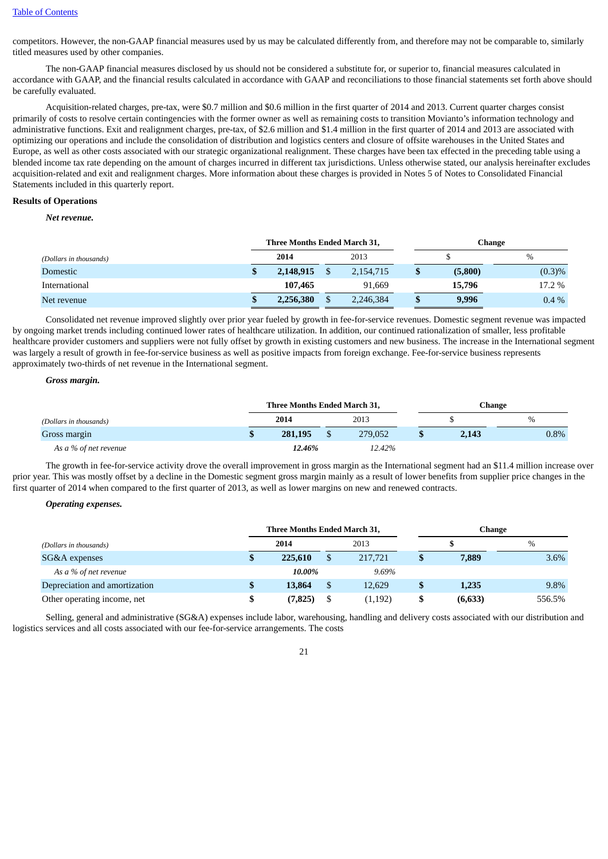competitors. However, the non-GAAP financial measures used by us may be calculated differently from, and therefore may not be comparable to, similarly titled measures used by other companies.

The non-GAAP financial measures disclosed by us should not be considered a substitute for, or superior to, financial measures calculated in accordance with GAAP, and the financial results calculated in accordance with GAAP and reconciliations to those financial statements set forth above should be carefully evaluated.

Acquisition-related charges, pre-tax, were \$0.7 million and \$0.6 million in the first quarter of 2014 and 2013. Current quarter charges consist primarily of costs to resolve certain contingencies with the former owner as well as remaining costs to transition Movianto's information technology and administrative functions. Exit and realignment charges, pre-tax, of \$2.6 million and \$1.4 million in the first quarter of 2014 and 2013 are associated with optimizing our operations and include the consolidation of distribution and logistics centers and closure of offsite warehouses in the United States and Europe, as well as other costs associated with our strategic organizational realignment. These charges have been tax effected in the preceding table using a blended income tax rate depending on the amount of charges incurred in different tax jurisdictions. Unless otherwise stated, our analysis hereinafter excludes acquisition-related and exit and realignment charges. More information about these charges is provided in Notes 5 of Notes to Consolidated Financial Statements included in this quarterly report.

#### **Results of Operations**

#### *Net revenue.*

|                        | Three Months Ended March 31, |           |  | Change    |         |           |  |
|------------------------|------------------------------|-----------|--|-----------|---------|-----------|--|
| (Dollars in thousands) |                              | 2014      |  | 2013      |         | $\%$      |  |
| Domestic               | Э                            | 2,148,915 |  | 2,154,715 | (5,800) | $(0.3)\%$ |  |
| International          |                              | 107,465   |  | 91,669    | 15,796  | 17.2 %    |  |
| Net revenue            | J                            | 2,256,380 |  | 2,246,384 | 9,996   | $0.4\%$   |  |

Consolidated net revenue improved slightly over prior year fueled by growth in fee-for-service revenues. Domestic segment revenue was impacted by ongoing market trends including continued lower rates of healthcare utilization. In addition, our continued rationalization of smaller, less profitable healthcare provider customers and suppliers were not fully offset by growth in existing customers and new business. The increase in the International segment was largely a result of growth in fee-for-service business as well as positive impacts from foreign exchange. Fee-for-service business represents approximately two-thirds of net revenue in the International segment.

#### *Gross margin.*

|                        |      |         | Three Months Ended March 31, | Change |       |               |  |
|------------------------|------|---------|------------------------------|--------|-------|---------------|--|
| (Dollars in thousands) | 2014 |         | 2013                         |        |       | $\frac{0}{0}$ |  |
| Gross margin           |      | 281,195 | 279.052                      |        | 2.143 | $0.8\%$       |  |
| As a % of net revenue  |      | 12.46%  | 12.42%                       |        |       |               |  |

The growth in fee-for-service activity drove the overall improvement in gross margin as the International segment had an \$11.4 million increase over prior year. This was mostly offset by a decline in the Domestic segment gross margin mainly as a result of lower benefits from supplier price changes in the first quarter of 2014 when compared to the first quarter of 2013, as well as lower margins on new and renewed contracts.

#### *Operating expenses.*

|                               | Three Months Ended March 31, |          |  |          | Change |         |               |  |
|-------------------------------|------------------------------|----------|--|----------|--------|---------|---------------|--|
| (Dollars in thousands)        |                              | 2014     |  | 2013     |        |         | $\frac{0}{0}$ |  |
| SG&A expenses                 |                              | 225,610  |  | 217,721  |        | 7,889   | $3.6\%$       |  |
| As a % of net revenue         |                              | 10.00%   |  | 9.69%    |        |         |               |  |
| Depreciation and amortization |                              | 13,864   |  | 12,629   |        | 1,235   | 9.8%          |  |
| Other operating income, net   | \$                           | (7, 825) |  | (1, 192) | \$     | (6,633) | 556.5%        |  |

Selling, general and administrative (SG&A) expenses include labor, warehousing, handling and delivery costs associated with our distribution and logistics services and all costs associated with our fee-for-service arrangements. The costs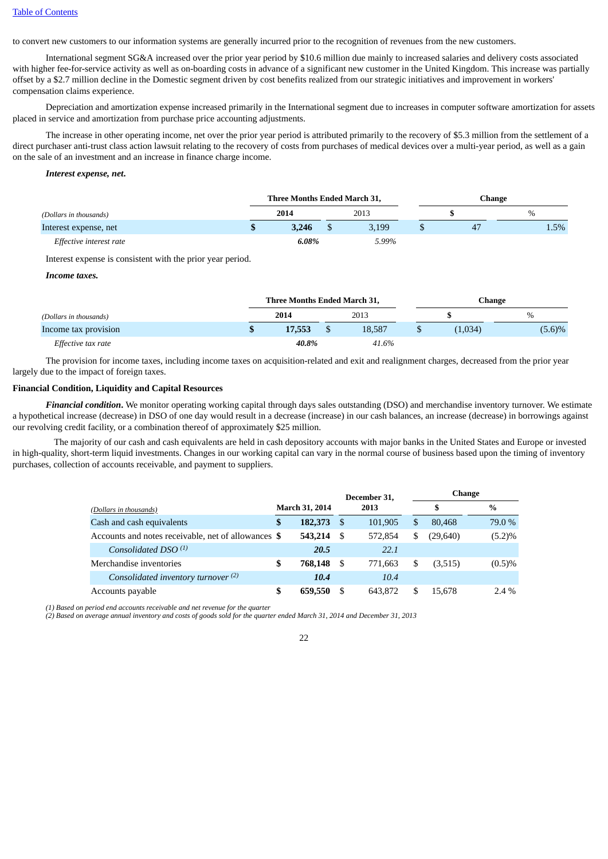to convert new customers to our information systems are generally incurred prior to the recognition of revenues from the new customers.

International segment SG&A increased over the prior year period by \$10.6 million due mainly to increased salaries and delivery costs associated with higher fee-for-service activity as well as on-boarding costs in advance of a significant new customer in the United Kingdom. This increase was partially offset by a \$2.7 million decline in the Domestic segment driven by cost benefits realized from our strategic initiatives and improvement in workers' compensation claims experience.

Depreciation and amortization expense increased primarily in the International segment due to increases in computer software amortization for assets placed in service and amortization from purchase price accounting adjustments.

The increase in other operating income, net over the prior year period is attributed primarily to the recovery of \$5.3 million from the settlement of a direct purchaser anti-trust class action lawsuit relating to the recovery of costs from purchases of medical devices over a multi-year period, as well as a gain on the sale of an investment and an increase in finance charge income.

#### *Interest expense, net***.**

|                         | Three Months Ended March 31, |  | Change |  |    |               |
|-------------------------|------------------------------|--|--------|--|----|---------------|
| (Dollars in thousands)  | 2014                         |  | 2013   |  |    | $\frac{0}{0}$ |
| Interest expense, net   | 3.246                        |  | 3.199  |  | 47 | $1.5\%$       |
| Effective interest rate | 6.08%                        |  | 5.99%  |  |    |               |

Interest expense is consistent with the prior year period.

*Income taxes.*

|                        |  | Three Months Ended March 31, |        | Change |         |               |  |
|------------------------|--|------------------------------|--------|--------|---------|---------------|--|
| (Dollars in thousands) |  | 2014                         | 2013   |        |         | $\frac{0}{0}$ |  |
| Income tax provision   |  | 17,553                       | 18,587 |        | (1,034) | $(5.6)\%$     |  |
| Effective tax rate     |  | 40.8%                        | 41.6%  |        |         |               |  |

The provision for income taxes, including income taxes on acquisition-related and exit and realignment charges, decreased from the prior year largely due to the impact of foreign taxes.

#### **Financial Condition, Liquidity and Capital Resources**

*Financial condition***.** We monitor operating working capital through days sales outstanding (DSO) and merchandise inventory turnover. We estimate a hypothetical increase (decrease) in DSO of one day would result in a decrease (increase) in our cash balances, an increase (decrease) in borrowings against our revolving credit facility, or a combination thereof of approximately \$25 million.

The majority of our cash and cash equivalents are held in cash depository accounts with major banks in the United States and Europe or invested in high-quality, short-term liquid investments. Changes in our working capital can vary in the normal course of business based upon the timing of inventory purchases, collection of accounts receivable, and payment to suppliers.

|                                                     |    |                       |      | December 31. |    |          | Change    |
|-----------------------------------------------------|----|-----------------------|------|--------------|----|----------|-----------|
| (Dollars in thousands)                              |    | <b>March 31, 2014</b> |      | 2013         |    | \$       | $\%$      |
| Cash and cash equivalents                           | S  | 182,373               | - \$ | 101,905      | \$ | 80,468   | 79.0 %    |
| Accounts and notes receivable, net of allowances \$ |    | 543,214               | - \$ | 572,854      | \$ | (29,640) | (5.2)%    |
| Consolidated DSO $(1)$                              |    | 20.5                  |      | 22.1         |    |          |           |
| Merchandise inventories                             | \$ | 768,148               | -\$  | 771.663      | S  | (3,515)  | $(0.5)\%$ |
| Consolidated inventory turnover (2)                 |    | 10.4                  |      | 10.4         |    |          |           |
| Accounts payable                                    | \$ | 659,550               | -S   | 643,872      | \$ | 15.678   | $2.4\%$   |

*(1) Based on period end accounts receivable and net revenue for the quarter*

(2) Based on average annual inventory and costs of goods sold for the quarter ended March 31, 2014 and December 31, 2013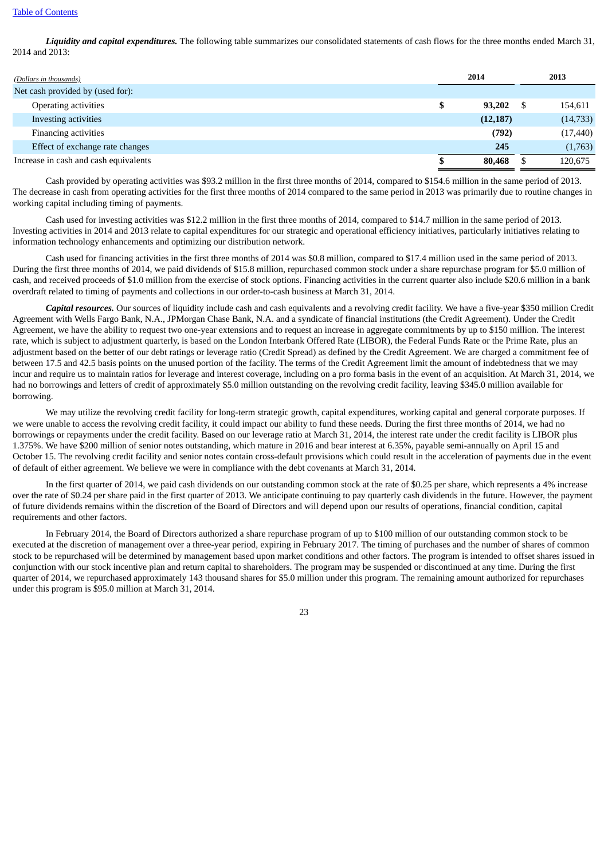#### Table of [Contents](#page-0-0)

*Liquidity and capital expenditures.* The following table summarizes our consolidated statements of cash flows for the three months ended March 31, 2014 and 2013:

| (Dollars in thousands)                | 2014      | 2013      |
|---------------------------------------|-----------|-----------|
| Net cash provided by (used for):      |           |           |
| Operating activities                  | 93,202    | 154,611   |
| Investing activities                  | (12, 187) | (14, 733) |
| <b>Financing activities</b>           | (792)     | (17, 440) |
| Effect of exchange rate changes       | 245       | (1,763)   |
| Increase in cash and cash equivalents | 80,468    | 120,675   |

Cash provided by operating activities was \$93.2 million in the first three months of 2014, compared to \$154.6 million in the same period of 2013. The decrease in cash from operating activities for the first three months of 2014 compared to the same period in 2013 was primarily due to routine changes in working capital including timing of payments.

Cash used for investing activities was \$12.2 million in the first three months of 2014, compared to \$14.7 million in the same period of 2013. Investing activities in 2014 and 2013 relate to capital expenditures for our strategic and operational efficiency initiatives, particularly initiatives relating to information technology enhancements and optimizing our distribution network.

Cash used for financing activities in the first three months of 2014 was \$0.8 million, compared to \$17.4 million used in the same period of 2013. During the first three months of 2014, we paid dividends of \$15.8 million, repurchased common stock under a share repurchase program for \$5.0 million of cash, and received proceeds of \$1.0 million from the exercise of stock options. Financing activities in the current quarter also include \$20.6 million in a bank overdraft related to timing of payments and collections in our order-to-cash business at March 31, 2014.

*Capital resources.* Our sources of liquidity include cash and cash equivalents and a revolving credit facility. We have a five-year \$350 million Credit Agreement with Wells Fargo Bank, N.A., JPMorgan Chase Bank, N.A. and a syndicate of financial institutions (the Credit Agreement). Under the Credit Agreement, we have the ability to request two one-year extensions and to request an increase in aggregate commitments by up to \$150 million. The interest rate, which is subject to adjustment quarterly, is based on the London Interbank Offered Rate (LIBOR), the Federal Funds Rate or the Prime Rate, plus an adjustment based on the better of our debt ratings or leverage ratio (Credit Spread) as defined by the Credit Agreement. We are charged a commitment fee of between 17.5 and 42.5 basis points on the unused portion of the facility. The terms of the Credit Agreement limit the amount of indebtedness that we may incur and require us to maintain ratios for leverage and interest coverage, including on a pro forma basis in the event of an acquisition. At March 31, 2014, we had no borrowings and letters of credit of approximately \$5.0 million outstanding on the revolving credit facility, leaving \$345.0 million available for borrowing.

We may utilize the revolving credit facility for long-term strategic growth, capital expenditures, working capital and general corporate purposes. If we were unable to access the revolving credit facility, it could impact our ability to fund these needs. During the first three months of 2014, we had no borrowings or repayments under the credit facility. Based on our leverage ratio at March 31, 2014, the interest rate under the credit facility is LIBOR plus 1.375%. We have \$200 million of senior notes outstanding, which mature in 2016 and bear interest at 6.35%, payable semi-annually on April 15 and October 15. The revolving credit facility and senior notes contain cross-default provisions which could result in the acceleration of payments due in the event of default of either agreement. We believe we were in compliance with the debt covenants at March 31, 2014.

In the first quarter of 2014, we paid cash dividends on our outstanding common stock at the rate of \$0.25 per share, which represents a 4% increase over the rate of \$0.24 per share paid in the first quarter of 2013. We anticipate continuing to pay quarterly cash dividends in the future. However, the payment of future dividends remains within the discretion of the Board of Directors and will depend upon our results of operations, financial condition, capital requirements and other factors.

In February 2014, the Board of Directors authorized a share repurchase program of up to \$100 million of our outstanding common stock to be executed at the discretion of management over a three-year period, expiring in February 2017. The timing of purchases and the number of shares of common stock to be repurchased will be determined by management based upon market conditions and other factors. The program is intended to offset shares issued in conjunction with our stock incentive plan and return capital to shareholders. The program may be suspended or discontinued at any time. During the first quarter of 2014, we repurchased approximately 143 thousand shares for \$5.0 million under this program. The remaining amount authorized for repurchases under this program is \$95.0 million at March 31, 2014.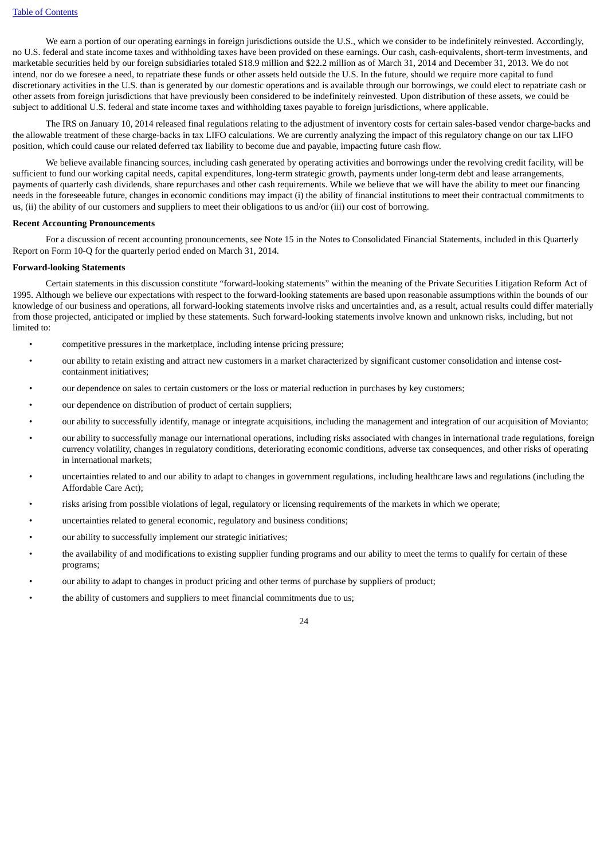We earn a portion of our operating earnings in foreign jurisdictions outside the U.S., which we consider to be indefinitely reinvested. Accordingly, no U.S. federal and state income taxes and withholding taxes have been provided on these earnings. Our cash, cash-equivalents, short-term investments, and marketable securities held by our foreign subsidiaries totaled \$18.9 million and \$22.2 million as of March 31, 2014 and December 31, 2013. We do not intend, nor do we foresee a need, to repatriate these funds or other assets held outside the U.S. In the future, should we require more capital to fund discretionary activities in the U.S. than is generated by our domestic operations and is available through our borrowings, we could elect to repatriate cash or other assets from foreign jurisdictions that have previously been considered to be indefinitely reinvested. Upon distribution of these assets, we could be subject to additional U.S. federal and state income taxes and withholding taxes payable to foreign jurisdictions, where applicable.

The IRS on January 10, 2014 released final regulations relating to the adjustment of inventory costs for certain sales-based vendor charge-backs and the allowable treatment of these charge-backs in tax LIFO calculations. We are currently analyzing the impact of this regulatory change on our tax LIFO position, which could cause our related deferred tax liability to become due and payable, impacting future cash flow.

We believe available financing sources, including cash generated by operating activities and borrowings under the revolving credit facility, will be sufficient to fund our working capital needs, capital expenditures, long-term strategic growth, payments under long-term debt and lease arrangements, payments of quarterly cash dividends, share repurchases and other cash requirements. While we believe that we will have the ability to meet our financing needs in the foreseeable future, changes in economic conditions may impact (i) the ability of financial institutions to meet their contractual commitments to us, (ii) the ability of our customers and suppliers to meet their obligations to us and/or (iii) our cost of borrowing.

#### **Recent Accounting Pronouncements**

For a discussion of recent accounting pronouncements, see Note 15 in the Notes to Consolidated Financial Statements, included in this Quarterly Report on Form 10-Q for the quarterly period ended on March 31, 2014.

#### **Forward-looking Statements**

Certain statements in this discussion constitute "forward-looking statements" within the meaning of the Private Securities Litigation Reform Act of 1995. Although we believe our expectations with respect to the forward-looking statements are based upon reasonable assumptions within the bounds of our knowledge of our business and operations, all forward-looking statements involve risks and uncertainties and, as a result, actual results could differ materially from those projected, anticipated or implied by these statements. Such forward-looking statements involve known and unknown risks, including, but not limited to:

- competitive pressures in the marketplace, including intense pricing pressure;
- our ability to retain existing and attract new customers in a market characterized by significant customer consolidation and intense costcontainment initiatives;
- our dependence on sales to certain customers or the loss or material reduction in purchases by key customers;
- our dependence on distribution of product of certain suppliers;
- our ability to successfully identify, manage or integrate acquisitions, including the management and integration of our acquisition of Movianto;
- our ability to successfully manage our international operations, including risks associated with changes in international trade regulations, foreign currency volatility, changes in regulatory conditions, deteriorating economic conditions, adverse tax consequences, and other risks of operating in international markets;
- uncertainties related to and our ability to adapt to changes in government regulations, including healthcare laws and regulations (including the Affordable Care Act);
- risks arising from possible violations of legal, regulatory or licensing requirements of the markets in which we operate;
- uncertainties related to general economic, regulatory and business conditions;
- our ability to successfully implement our strategic initiatives;
- the availability of and modifications to existing supplier funding programs and our ability to meet the terms to qualify for certain of these programs;
- our ability to adapt to changes in product pricing and other terms of purchase by suppliers of product;
- the ability of customers and suppliers to meet financial commitments due to us;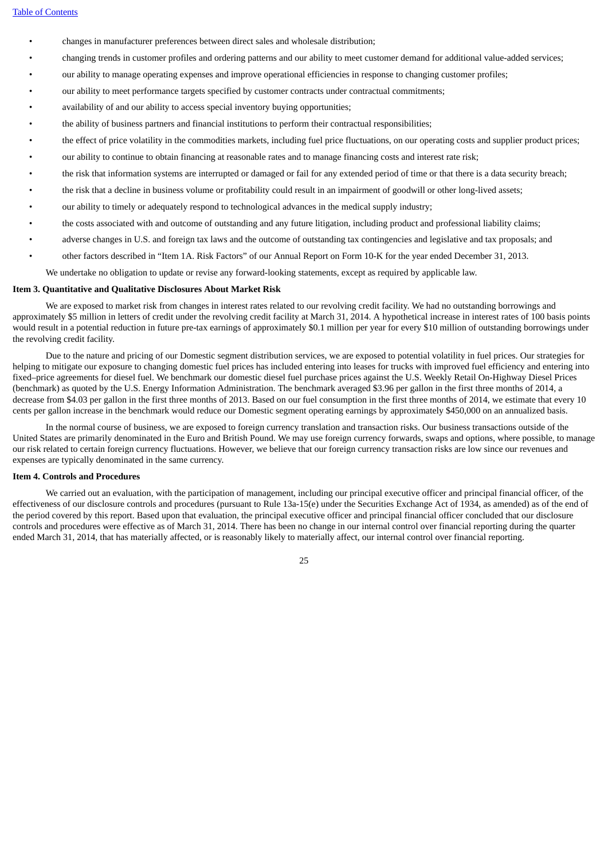- changes in manufacturer preferences between direct sales and wholesale distribution;
- changing trends in customer profiles and ordering patterns and our ability to meet customer demand for additional value-added services;
- our ability to manage operating expenses and improve operational efficiencies in response to changing customer profiles;
- our ability to meet performance targets specified by customer contracts under contractual commitments;
- availability of and our ability to access special inventory buying opportunities;
- the ability of business partners and financial institutions to perform their contractual responsibilities;
- the effect of price volatility in the commodities markets, including fuel price fluctuations, on our operating costs and supplier product prices;
- our ability to continue to obtain financing at reasonable rates and to manage financing costs and interest rate risk;
- the risk that information systems are interrupted or damaged or fail for any extended period of time or that there is a data security breach;
- the risk that a decline in business volume or profitability could result in an impairment of goodwill or other long-lived assets;
- our ability to timely or adequately respond to technological advances in the medical supply industry;
- the costs associated with and outcome of outstanding and any future litigation, including product and professional liability claims;
- adverse changes in U.S. and foreign tax laws and the outcome of outstanding tax contingencies and legislative and tax proposals; and
- other factors described in "Item 1A. Risk Factors" of our Annual Report on Form 10-K for the year ended December 31, 2013.

We undertake no obligation to update or revise any forward-looking statements, except as required by applicable law.

#### <span id="page-24-0"></span>**Item 3. Quantitative and Qualitative Disclosures About Market Risk**

We are exposed to market risk from changes in interest rates related to our revolving credit facility. We had no outstanding borrowings and approximately \$5 million in letters of credit under the revolving credit facility at March 31, 2014. A hypothetical increase in interest rates of 100 basis points would result in a potential reduction in future pre-tax earnings of approximately \$0.1 million per year for every \$10 million of outstanding borrowings under the revolving credit facility.

Due to the nature and pricing of our Domestic segment distribution services, we are exposed to potential volatility in fuel prices. Our strategies for helping to mitigate our exposure to changing domestic fuel prices has included entering into leases for trucks with improved fuel efficiency and entering into fixed–price agreements for diesel fuel. We benchmark our domestic diesel fuel purchase prices against the U.S. Weekly Retail On-Highway Diesel Prices (benchmark) as quoted by the U.S. Energy Information Administration. The benchmark averaged \$3.96 per gallon in the first three months of 2014, a decrease from \$4.03 per gallon in the first three months of 2013. Based on our fuel consumption in the first three months of 2014, we estimate that every 10 cents per gallon increase in the benchmark would reduce our Domestic segment operating earnings by approximately \$450,000 on an annualized basis.

In the normal course of business, we are exposed to foreign currency translation and transaction risks. Our business transactions outside of the United States are primarily denominated in the Euro and British Pound. We may use foreign currency forwards, swaps and options, where possible, to manage our risk related to certain foreign currency fluctuations. However, we believe that our foreign currency transaction risks are low since our revenues and expenses are typically denominated in the same currency.

#### <span id="page-24-1"></span>**Item 4. Controls and Procedures**

<span id="page-24-2"></span>We carried out an evaluation, with the participation of management, including our principal executive officer and principal financial officer, of the effectiveness of our disclosure controls and procedures (pursuant to Rule 13a-15(e) under the Securities Exchange Act of 1934, as amended) as of the end of the period covered by this report. Based upon that evaluation, the principal executive officer and principal financial officer concluded that our disclosure controls and procedures were effective as of March 31, 2014. There has been no change in our internal control over financial reporting during the quarter ended March 31, 2014, that has materially affected, or is reasonably likely to materially affect, our internal control over financial reporting.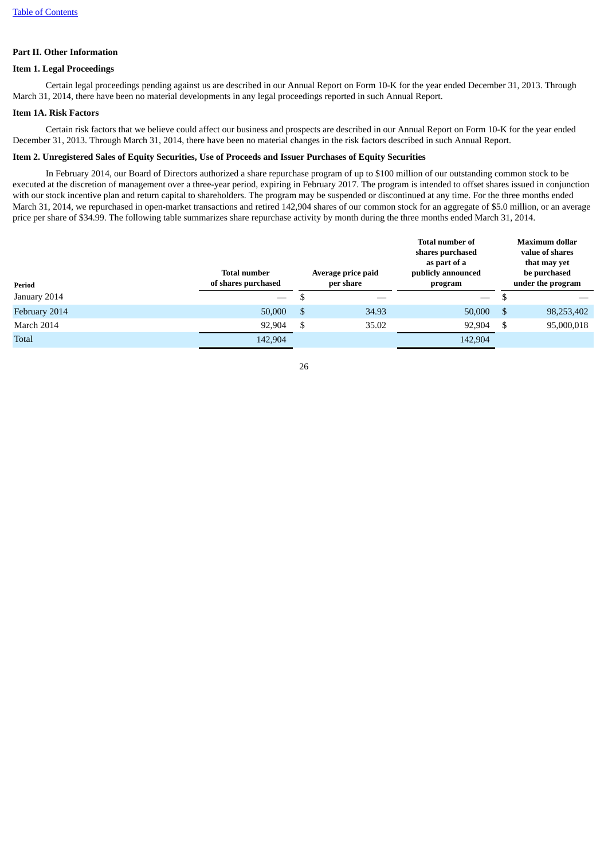### **Part II. Other Information**

### <span id="page-25-0"></span>**Item 1. Legal Proceedings**

Certain legal proceedings pending against us are described in our Annual Report on Form 10-K for the year ended December 31, 2013. Through March 31, 2014, there have been no material developments in any legal proceedings reported in such Annual Report.

#### <span id="page-25-1"></span>**Item 1A. Risk Factors**

Certain risk factors that we believe could affect our business and prospects are described in our Annual Report on Form 10-K for the year ended December 31, 2013. Through March 31, 2014, there have been no material changes in the risk factors described in such Annual Report.

#### <span id="page-25-2"></span>**Item 2. Unregistered Sales of Equity Securities, Use of Proceeds and Issuer Purchases of Equity Securities**

In February 2014, our Board of Directors authorized a share repurchase program of up to \$100 million of our outstanding common stock to be executed at the discretion of management over a three-year period, expiring in February 2017. The program is intended to offset shares issued in conjunction with our stock incentive plan and return capital to shareholders. The program may be suspended or discontinued at any time. For the three months ended March 31, 2014, we repurchased in open-market transactions and retired 142,904 shares of our common stock for an aggregate of \$5.0 million, or an average price per share of \$34.99. The following table summarizes share repurchase activity by month during the three months ended March 31, 2014.

<span id="page-25-3"></span>

| Period        | <b>Total number</b><br>of shares purchased |     | Average price paid<br>per share | <b>Total number of</b><br>shares purchased<br>as part of a<br>publicly announced<br>program |     | <b>Maximum dollar</b><br>value of shares<br>that may yet<br>be purchased<br>under the program |
|---------------|--------------------------------------------|-----|---------------------------------|---------------------------------------------------------------------------------------------|-----|-----------------------------------------------------------------------------------------------|
| January 2014  | $\hspace{0.05cm}$                          |     |                                 | $\overbrace{\phantom{12333}}$                                                               |     |                                                                                               |
| February 2014 | 50,000                                     | -S  | 34.93                           | 50,000                                                                                      | -\$ | 98,253,402                                                                                    |
| March 2014    | 92.904                                     | -\$ | 35.02                           | 92,904                                                                                      | -S  | 95,000,018                                                                                    |
| <b>Total</b>  | 142,904                                    |     |                                 | 142,904                                                                                     |     |                                                                                               |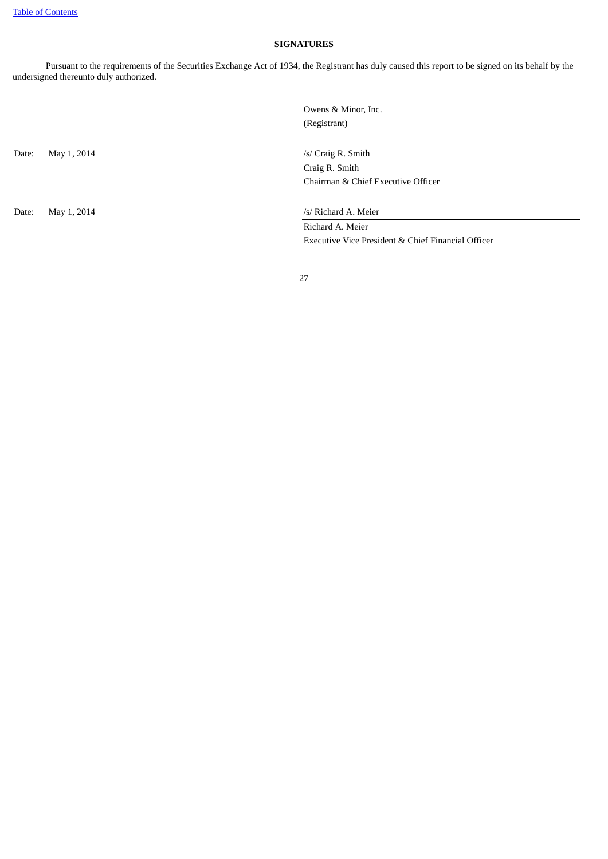### **SIGNATURES**

Pursuant to the requirements of the Securities Exchange Act of 1934, the Registrant has duly caused this report to be signed on its behalf by the undersigned thereunto duly authorized.

Date: May 1, 2014 /s/ Craig R. Smith

<span id="page-26-0"></span>Date: May 1, 2014 /s/ Richard A. Meier

Owens & Minor, Inc. (Registrant)

Craig R. Smith Chairman & Chief Executive Officer

Richard A. Meier Executive Vice President & Chief Financial Officer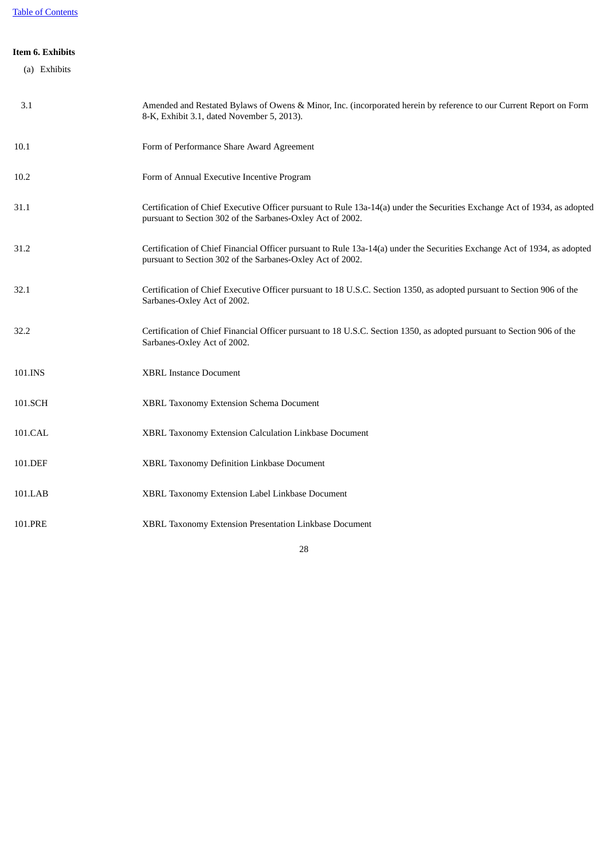| Item 6. Exhibits |                                                                                                                                                                                         |
|------------------|-----------------------------------------------------------------------------------------------------------------------------------------------------------------------------------------|
| (a) Exhibits     |                                                                                                                                                                                         |
| 3.1              | Amended and Restated Bylaws of Owens & Minor, Inc. (incorporated herein by reference to our Current Report on Form<br>8-K, Exhibit 3.1, dated November 5, 2013).                        |
| 10.1             | Form of Performance Share Award Agreement                                                                                                                                               |
| 10.2             | Form of Annual Executive Incentive Program                                                                                                                                              |
| 31.1             | Certification of Chief Executive Officer pursuant to Rule 13a-14(a) under the Securities Exchange Act of 1934, as adopted<br>pursuant to Section 302 of the Sarbanes-Oxley Act of 2002. |
| 31.2             | Certification of Chief Financial Officer pursuant to Rule 13a-14(a) under the Securities Exchange Act of 1934, as adopted<br>pursuant to Section 302 of the Sarbanes-Oxley Act of 2002. |
| 32.1             | Certification of Chief Executive Officer pursuant to 18 U.S.C. Section 1350, as adopted pursuant to Section 906 of the<br>Sarbanes-Oxley Act of 2002.                                   |
| 32.2             | Certification of Chief Financial Officer pursuant to 18 U.S.C. Section 1350, as adopted pursuant to Section 906 of the<br>Sarbanes-Oxley Act of 2002.                                   |
| 101.INS          | <b>XBRL Instance Document</b>                                                                                                                                                           |
| 101.SCH          | XBRL Taxonomy Extension Schema Document                                                                                                                                                 |
| 101.CAL          | XBRL Taxonomy Extension Calculation Linkbase Document                                                                                                                                   |
| 101.DEF          | XBRL Taxonomy Definition Linkbase Document                                                                                                                                              |
| 101.LAB          | XBRL Taxonomy Extension Label Linkbase Document                                                                                                                                         |
| 101.PRE          | XBRL Taxonomy Extension Presentation Linkbase Document                                                                                                                                  |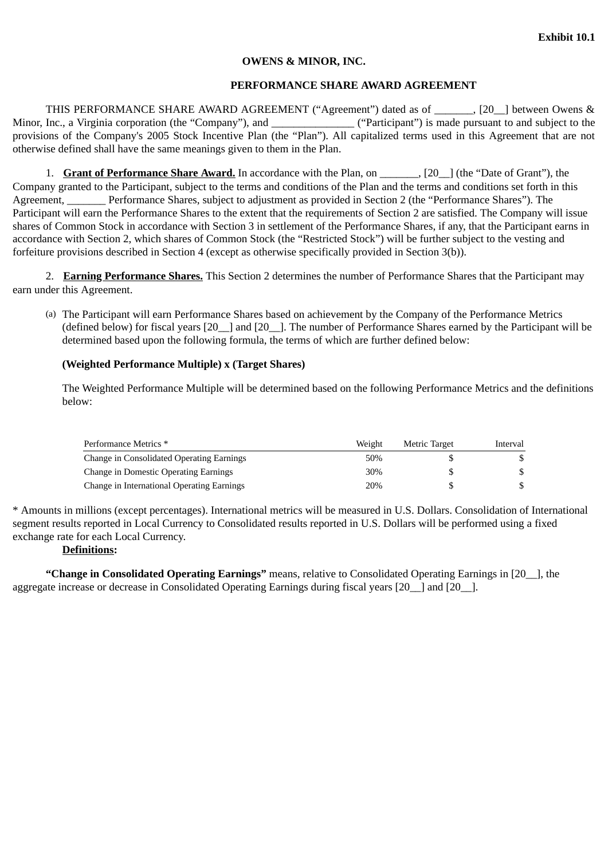# **OWENS & MINOR, INC.**

### **PERFORMANCE SHARE AWARD AGREEMENT**

THIS PERFORMANCE SHARE AWARD AGREEMENT ("Agreement") dated as of \_\_\_\_\_\_\_, [20\_\_] between Owens & Minor, Inc., a Virginia corporation (the "Company"), and  $($  "Participant") is made pursuant to and subject to the provisions of the Company's 2005 Stock Incentive Plan (the "Plan"). All capitalized terms used in this Agreement that are not otherwise defined shall have the same meanings given to them in the Plan.

1. **Grant of Performance Share Award.** In accordance with the Plan, on \_\_\_\_\_\_\_, [20\_\_] (the "Date of Grant"), the Company granted to the Participant, subject to the terms and conditions of the Plan and the terms and conditions set forth in this Agreement, Performance Shares, subject to adjustment as provided in Section 2 (the "Performance Shares"). The Participant will earn the Performance Shares to the extent that the requirements of Section 2 are satisfied. The Company will issue shares of Common Stock in accordance with Section 3 in settlement of the Performance Shares, if any, that the Participant earns in accordance with Section 2, which shares of Common Stock (the "Restricted Stock") will be further subject to the vesting and forfeiture provisions described in Section 4 (except as otherwise specifically provided in Section 3(b)).

2. **Earning Performance Shares.** This Section 2 determines the number of Performance Shares that the Participant may earn under this Agreement.

(a) The Participant will earn Performance Shares based on achievement by the Company of the Performance Metrics (defined below) for fiscal years [20\_\_] and [20\_\_]. The number of Performance Shares earned by the Participant will be determined based upon the following formula, the terms of which are further defined below:

# **(Weighted Performance Multiple) x (Target Shares)**

The Weighted Performance Multiple will be determined based on the following Performance Metrics and the definitions below:

| Performance Metrics *                      | Weight | Metric Target | Interval |
|--------------------------------------------|--------|---------------|----------|
| Change in Consolidated Operating Earnings  | 50%    |               |          |
| Change in Domestic Operating Earnings      | 30%    |               |          |
| Change in International Operating Earnings | 20%    |               |          |

\* Amounts in millions (except percentages). International metrics will be measured in U.S. Dollars. Consolidation of International segment results reported in Local Currency to Consolidated results reported in U.S. Dollars will be performed using a fixed exchange rate for each Local Currency.

### **Definitions:**

**"Change in Consolidated Operating Earnings"** means, relative to Consolidated Operating Earnings in [20\_\_], the aggregate increase or decrease in Consolidated Operating Earnings during fiscal years [20\_\_] and [20\_\_].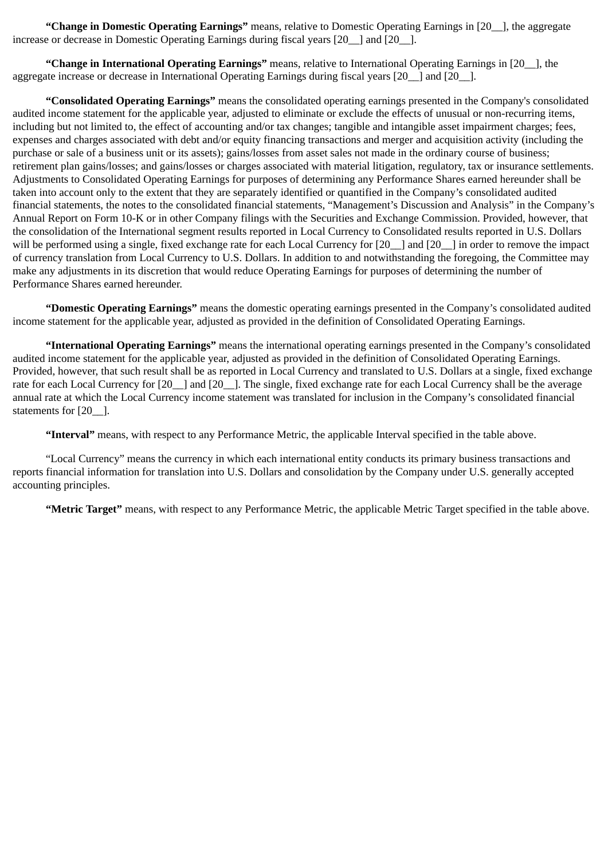**"Change in Domestic Operating Earnings"** means, relative to Domestic Operating Earnings in [20\_\_], the aggregate increase or decrease in Domestic Operating Earnings during fiscal years [20\_] and [20\_].

**"Change in International Operating Earnings"** means, relative to International Operating Earnings in [20\_\_], the aggregate increase or decrease in International Operating Earnings during fiscal years [20\_\_] and [20\_\_].

**"Consolidated Operating Earnings"** means the consolidated operating earnings presented in the Company's consolidated audited income statement for the applicable year, adjusted to eliminate or exclude the effects of unusual or non-recurring items, including but not limited to, the effect of accounting and/or tax changes; tangible and intangible asset impairment charges; fees, expenses and charges associated with debt and/or equity financing transactions and merger and acquisition activity (including the purchase or sale of a business unit or its assets); gains/losses from asset sales not made in the ordinary course of business; retirement plan gains/losses; and gains/losses or charges associated with material litigation, regulatory, tax or insurance settlements. Adjustments to Consolidated Operating Earnings for purposes of determining any Performance Shares earned hereunder shall be taken into account only to the extent that they are separately identified or quantified in the Company's consolidated audited financial statements, the notes to the consolidated financial statements, "Management's Discussion and Analysis" in the Company's Annual Report on Form 10-K or in other Company filings with the Securities and Exchange Commission. Provided, however, that the consolidation of the International segment results reported in Local Currency to Consolidated results reported in U.S. Dollars will be performed using a single, fixed exchange rate for each Local Currency for  $\lceil 20 \rceil$  and  $\lceil 20 \rceil$  in order to remove the impact of currency translation from Local Currency to U.S. Dollars. In addition to and notwithstanding the foregoing, the Committee may make any adjustments in its discretion that would reduce Operating Earnings for purposes of determining the number of Performance Shares earned hereunder.

**"Domestic Operating Earnings"** means the domestic operating earnings presented in the Company's consolidated audited income statement for the applicable year, adjusted as provided in the definition of Consolidated Operating Earnings.

**"International Operating Earnings"** means the international operating earnings presented in the Company's consolidated audited income statement for the applicable year, adjusted as provided in the definition of Consolidated Operating Earnings. Provided, however, that such result shall be as reported in Local Currency and translated to U.S. Dollars at a single, fixed exchange rate for each Local Currency for [20\_] and [20\_]. The single, fixed exchange rate for each Local Currency shall be the average annual rate at which the Local Currency income statement was translated for inclusion in the Company's consolidated financial statements for [20\_\_].

**"Interval"** means, with respect to any Performance Metric, the applicable Interval specified in the table above.

"Local Currency" means the currency in which each international entity conducts its primary business transactions and reports financial information for translation into U.S. Dollars and consolidation by the Company under U.S. generally accepted accounting principles.

**"Metric Target"** means, with respect to any Performance Metric, the applicable Metric Target specified in the table above.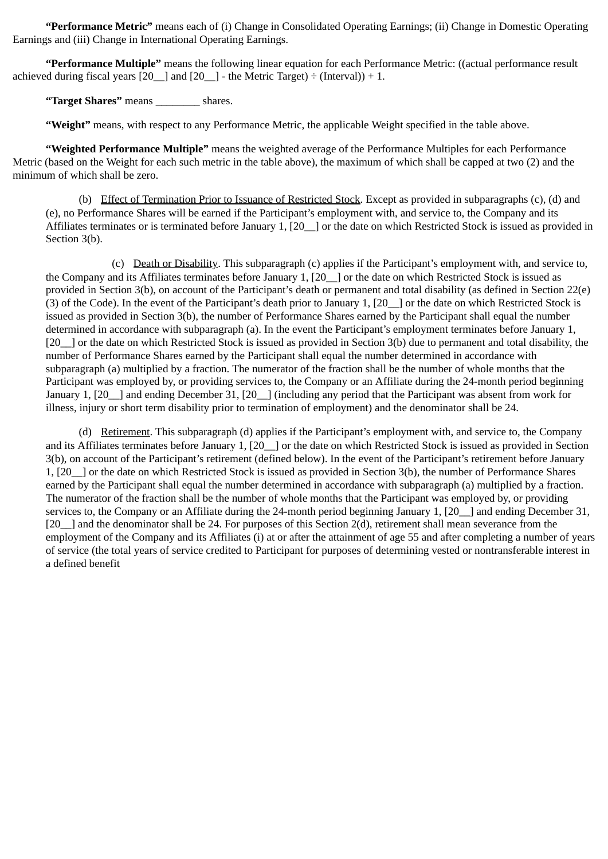**"Performance Metric"** means each of (i) Change in Consolidated Operating Earnings; (ii) Change in Domestic Operating Earnings and (iii) Change in International Operating Earnings.

**"Performance Multiple"** means the following linear equation for each Performance Metric: ((actual performance result achieved during fiscal years  $[20 \quad]$  and  $[20 \quad]$  - the Metric Target) ÷ (Interval)) + 1.

**"Target Shares"** means \_\_\_\_\_\_\_\_ shares.

**"Weight"** means, with respect to any Performance Metric, the applicable Weight specified in the table above.

**"Weighted Performance Multiple"** means the weighted average of the Performance Multiples for each Performance Metric (based on the Weight for each such metric in the table above), the maximum of which shall be capped at two (2) and the minimum of which shall be zero.

(b) Effect of Termination Prior to Issuance of Restricted Stock. Except as provided in subparagraphs (c), (d) and (e), no Performance Shares will be earned if the Participant's employment with, and service to, the Company and its Affiliates terminates or is terminated before January 1, [20  $\Box$ ] or the date on which Restricted Stock is issued as provided in Section 3(b).

(c) Death or Disability. This subparagraph (c) applies if the Participant's employment with, and service to, the Company and its Affiliates terminates before January 1, [20\_\_] or the date on which Restricted Stock is issued as provided in Section 3(b), on account of the Participant's death or permanent and total disability (as defined in Section 22(e) (3) of the Code). In the event of the Participant's death prior to January 1, [20\_\_] or the date on which Restricted Stock is issued as provided in Section 3(b), the number of Performance Shares earned by the Participant shall equal the number determined in accordance with subparagraph (a). In the event the Participant's employment terminates before January 1, [20<sup>]</sup> or the date on which Restricted Stock is issued as provided in Section 3(b) due to permanent and total disability, the number of Performance Shares earned by the Participant shall equal the number determined in accordance with subparagraph (a) multiplied by a fraction. The numerator of the fraction shall be the number of whole months that the Participant was employed by, or providing services to, the Company or an Affiliate during the 24-month period beginning January 1, [20\_\_] and ending December 31, [20\_\_] (including any period that the Participant was absent from work for illness, injury or short term disability prior to termination of employment) and the denominator shall be 24.

(d) Retirement. This subparagraph (d) applies if the Participant's employment with, and service to, the Company and its Affiliates terminates before January 1, [20\_\_] or the date on which Restricted Stock is issued as provided in Section 3(b), on account of the Participant's retirement (defined below). In the event of the Participant's retirement before January 1, [20\_\_] or the date on which Restricted Stock is issued as provided in Section 3(b), the number of Performance Shares earned by the Participant shall equal the number determined in accordance with subparagraph (a) multiplied by a fraction. The numerator of the fraction shall be the number of whole months that the Participant was employed by, or providing services to, the Company or an Affiliate during the 24-month period beginning January 1, [20  $\parallel$ ] and ending December 31, [20\_] and the denominator shall be 24. For purposes of this Section 2(d), retirement shall mean severance from the employment of the Company and its Affiliates (i) at or after the attainment of age 55 and after completing a number of years of service (the total years of service credited to Participant for purposes of determining vested or nontransferable interest in a defined benefit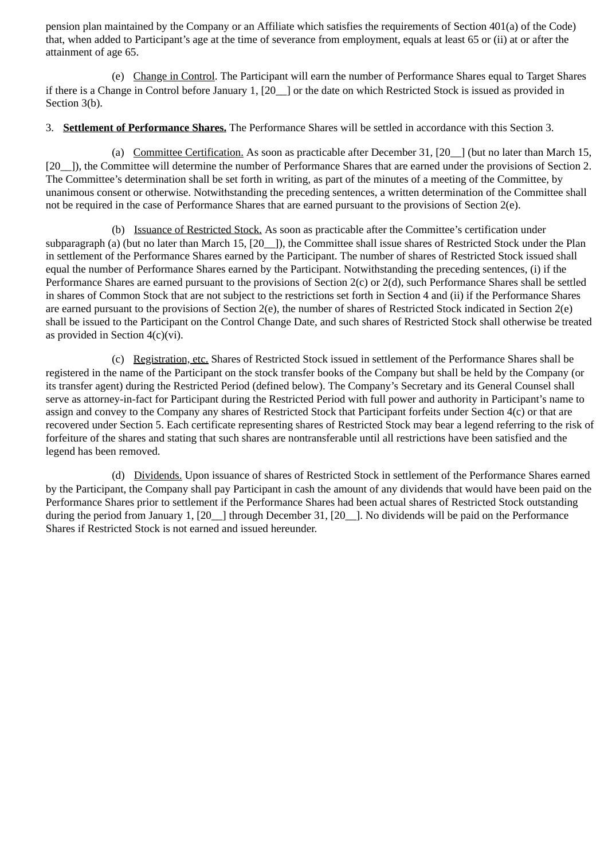pension plan maintained by the Company or an Affiliate which satisfies the requirements of Section 401(a) of the Code) that, when added to Participant's age at the time of severance from employment, equals at least 65 or (ii) at or after the attainment of age 65.

(e) Change in Control. The Participant will earn the number of Performance Shares equal to Target Shares if there is a Change in Control before January 1, [20\_\_] or the date on which Restricted Stock is issued as provided in Section 3(b).

3. **Settlement of Performance Shares.** The Performance Shares will be settled in accordance with this Section 3.

(a) Committee Certification. As soon as practicable after December 31, [20\_\_] (but no later than March 15, [20  $\,$  ]), the Committee will determine the number of Performance Shares that are earned under the provisions of Section 2. The Committee's determination shall be set forth in writing, as part of the minutes of a meeting of the Committee, by unanimous consent or otherwise. Notwithstanding the preceding sentences, a written determination of the Committee shall not be required in the case of Performance Shares that are earned pursuant to the provisions of Section 2(e).

(b) Issuance of Restricted Stock. As soon as practicable after the Committee's certification under subparagraph (a) (but no later than March 15, [20] ), the Committee shall issue shares of Restricted Stock under the Plan in settlement of the Performance Shares earned by the Participant. The number of shares of Restricted Stock issued shall equal the number of Performance Shares earned by the Participant. Notwithstanding the preceding sentences, (i) if the Performance Shares are earned pursuant to the provisions of Section 2(c) or 2(d), such Performance Shares shall be settled in shares of Common Stock that are not subject to the restrictions set forth in Section 4 and (ii) if the Performance Shares are earned pursuant to the provisions of Section 2(e), the number of shares of Restricted Stock indicated in Section 2(e) shall be issued to the Participant on the Control Change Date, and such shares of Restricted Stock shall otherwise be treated as provided in Section 4(c)(vi).

(c) Registration, etc. Shares of Restricted Stock issued in settlement of the Performance Shares shall be registered in the name of the Participant on the stock transfer books of the Company but shall be held by the Company (or its transfer agent) during the Restricted Period (defined below). The Company's Secretary and its General Counsel shall serve as attorney-in-fact for Participant during the Restricted Period with full power and authority in Participant's name to assign and convey to the Company any shares of Restricted Stock that Participant forfeits under Section 4(c) or that are recovered under Section 5. Each certificate representing shares of Restricted Stock may bear a legend referring to the risk of forfeiture of the shares and stating that such shares are nontransferable until all restrictions have been satisfied and the legend has been removed.

(d) Dividends. Upon issuance of shares of Restricted Stock in settlement of the Performance Shares earned by the Participant, the Company shall pay Participant in cash the amount of any dividends that would have been paid on the Performance Shares prior to settlement if the Performance Shares had been actual shares of Restricted Stock outstanding during the period from January 1, [20\_] through December 31, [20\_]. No dividends will be paid on the Performance Shares if Restricted Stock is not earned and issued hereunder.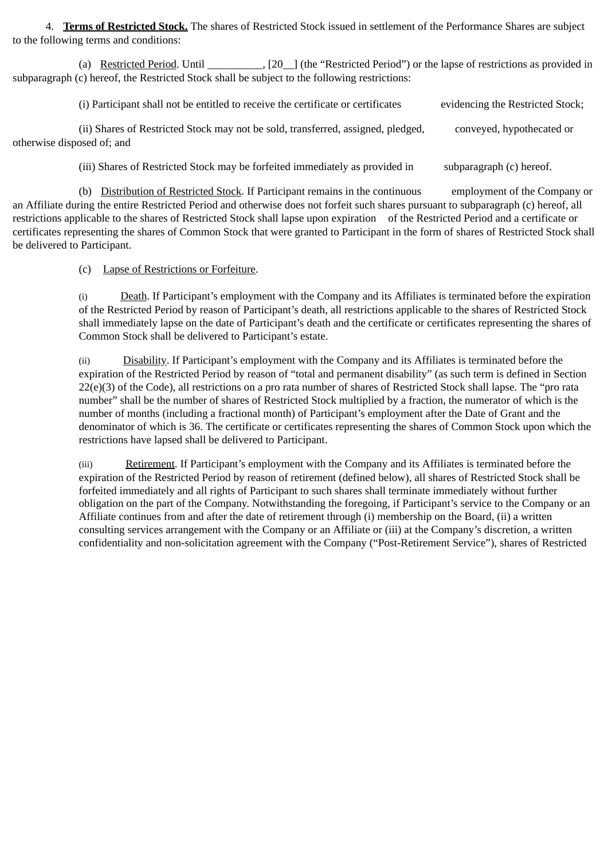4. **Terms of Restricted Stock.** The shares of Restricted Stock issued in settlement of the Performance Shares are subject to the following terms and conditions:

(a) Restricted Period. Until \_\_\_\_\_\_\_\_\_, [20\_] (the "Restricted Period") or the lapse of restrictions as provided in subparagraph (c) hereof, the Restricted Stock shall be subject to the following restrictions:

(i) Participant shall not be entitled to receive the certificate or certificates evidencing the Restricted Stock; (ii) Shares of Restricted Stock may not be sold, transferred, assigned, pledged, conveyed, hypothecated or otherwise disposed of; and

(iii) Shares of Restricted Stock may be forfeited immediately as provided in subparagraph (c) hereof.

(b) Distribution of Restricted Stock. If Participant remains in the continuous employment of the Company or an Affiliate during the entire Restricted Period and otherwise does not forfeit such shares pursuant to subparagraph (c) hereof, all restrictions applicable to the shares of Restricted Stock shall lapse upon expiration of the Restricted Period and a certificate or certificates representing the shares of Common Stock that were granted to Participant in the form of shares of Restricted Stock shall be delivered to Participant.

(c) Lapse of Restrictions or Forfeiture.

(i) Death. If Participant's employment with the Company and its Affiliates is terminated before the expiration of the Restricted Period by reason of Participant's death, all restrictions applicable to the shares of Restricted Stock shall immediately lapse on the date of Participant's death and the certificate or certificates representing the shares of Common Stock shall be delivered to Participant's estate.

(ii) Disability. If Participant's employment with the Company and its Affiliates is terminated before the expiration of the Restricted Period by reason of "total and permanent disability" (as such term is defined in Section 22(e)(3) of the Code), all restrictions on a pro rata number of shares of Restricted Stock shall lapse. The "pro rata number" shall be the number of shares of Restricted Stock multiplied by a fraction, the numerator of which is the number of months (including a fractional month) of Participant's employment after the Date of Grant and the denominator of which is 36. The certificate or certificates representing the shares of Common Stock upon which the restrictions have lapsed shall be delivered to Participant.

(iii) Retirement. If Participant's employment with the Company and its Affiliates is terminated before the expiration of the Restricted Period by reason of retirement (defined below), all shares of Restricted Stock shall be forfeited immediately and all rights of Participant to such shares shall terminate immediately without further obligation on the part of the Company. Notwithstanding the foregoing, if Participant's service to the Company or an Affiliate continues from and after the date of retirement through (i) membership on the Board, (ii) a written consulting services arrangement with the Company or an Affiliate or (iii) at the Company's discretion, a written confidentiality and non-solicitation agreement with the Company ("Post-Retirement Service"), shares of Restricted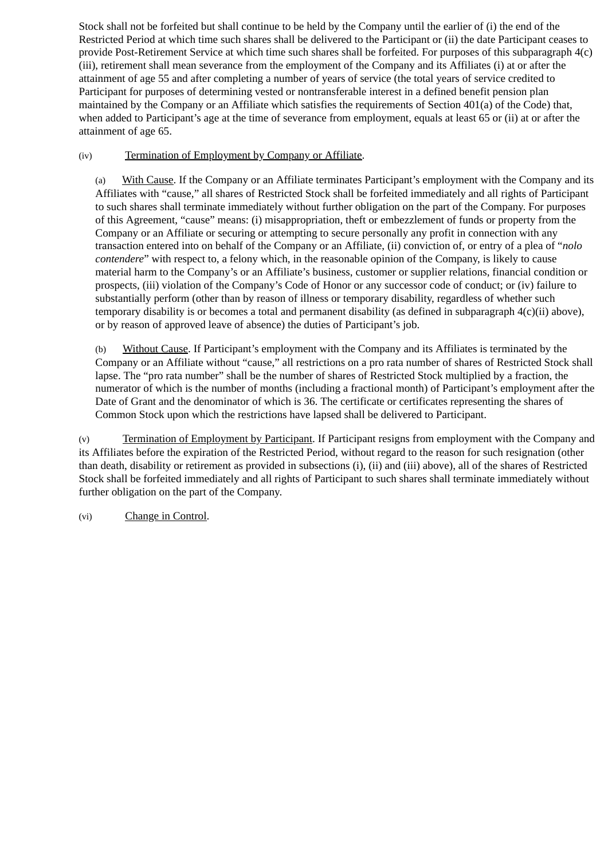Stock shall not be forfeited but shall continue to be held by the Company until the earlier of (i) the end of the Restricted Period at which time such shares shall be delivered to the Participant or (ii) the date Participant ceases to provide Post-Retirement Service at which time such shares shall be forfeited. For purposes of this subparagraph 4(c) (iii), retirement shall mean severance from the employment of the Company and its Affiliates (i) at or after the attainment of age 55 and after completing a number of years of service (the total years of service credited to Participant for purposes of determining vested or nontransferable interest in a defined benefit pension plan maintained by the Company or an Affiliate which satisfies the requirements of Section 401(a) of the Code) that, when added to Participant's age at the time of severance from employment, equals at least 65 or (ii) at or after the attainment of age 65.

# (iv) Termination of Employment by Company or Affiliate.

(a) With Cause. If the Company or an Affiliate terminates Participant's employment with the Company and its Affiliates with "cause," all shares of Restricted Stock shall be forfeited immediately and all rights of Participant to such shares shall terminate immediately without further obligation on the part of the Company. For purposes of this Agreement, "cause" means: (i) misappropriation, theft or embezzlement of funds or property from the Company or an Affiliate or securing or attempting to secure personally any profit in connection with any transaction entered into on behalf of the Company or an Affiliate, (ii) conviction of, or entry of a plea of "*nolo contendere*" with respect to, a felony which, in the reasonable opinion of the Company, is likely to cause material harm to the Company's or an Affiliate's business, customer or supplier relations, financial condition or prospects, (iii) violation of the Company's Code of Honor or any successor code of conduct; or (iv) failure to substantially perform (other than by reason of illness or temporary disability, regardless of whether such temporary disability is or becomes a total and permanent disability (as defined in subparagraph  $4(c)(ii)$  above), or by reason of approved leave of absence) the duties of Participant's job.

(b) Without Cause. If Participant's employment with the Company and its Affiliates is terminated by the Company or an Affiliate without "cause," all restrictions on a pro rata number of shares of Restricted Stock shall lapse. The "pro rata number" shall be the number of shares of Restricted Stock multiplied by a fraction, the numerator of which is the number of months (including a fractional month) of Participant's employment after the Date of Grant and the denominator of which is 36. The certificate or certificates representing the shares of Common Stock upon which the restrictions have lapsed shall be delivered to Participant.

(v) Termination of Employment by Participant. If Participant resigns from employment with the Company and its Affiliates before the expiration of the Restricted Period, without regard to the reason for such resignation (other than death, disability or retirement as provided in subsections (i), (ii) and (iii) above), all of the shares of Restricted Stock shall be forfeited immediately and all rights of Participant to such shares shall terminate immediately without further obligation on the part of the Company.

(vi) Change in Control.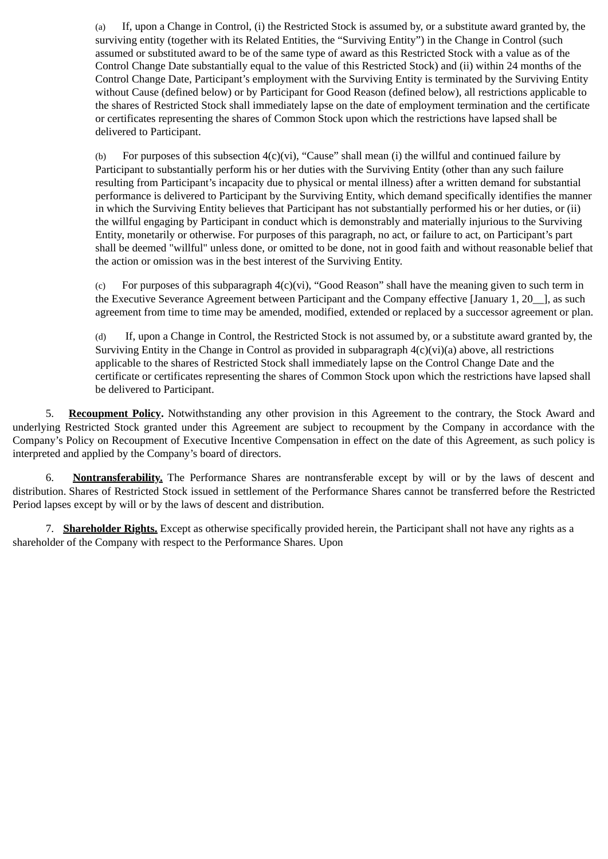(a) If, upon a Change in Control, (i) the Restricted Stock is assumed by, or a substitute award granted by, the surviving entity (together with its Related Entities, the "Surviving Entity") in the Change in Control (such assumed or substituted award to be of the same type of award as this Restricted Stock with a value as of the Control Change Date substantially equal to the value of this Restricted Stock) and (ii) within 24 months of the Control Change Date, Participant's employment with the Surviving Entity is terminated by the Surviving Entity without Cause (defined below) or by Participant for Good Reason (defined below), all restrictions applicable to the shares of Restricted Stock shall immediately lapse on the date of employment termination and the certificate or certificates representing the shares of Common Stock upon which the restrictions have lapsed shall be delivered to Participant.

(b) For purposes of this subsection  $4(c)(vi)$ , "Cause" shall mean (i) the willful and continued failure by Participant to substantially perform his or her duties with the Surviving Entity (other than any such failure resulting from Participant's incapacity due to physical or mental illness) after a written demand for substantial performance is delivered to Participant by the Surviving Entity, which demand specifically identifies the manner in which the Surviving Entity believes that Participant has not substantially performed his or her duties, or (ii) the willful engaging by Participant in conduct which is demonstrably and materially injurious to the Surviving Entity, monetarily or otherwise. For purposes of this paragraph, no act, or failure to act, on Participant's part shall be deemed "willful" unless done, or omitted to be done, not in good faith and without reasonable belief that the action or omission was in the best interest of the Surviving Entity.

(c) For purposes of this subparagraph  $4(c)(vi)$ , "Good Reason" shall have the meaning given to such term in the Executive Severance Agreement between Participant and the Company effective [January 1, 20\_\_], as such agreement from time to time may be amended, modified, extended or replaced by a successor agreement or plan.

(d) If, upon a Change in Control, the Restricted Stock is not assumed by, or a substitute award granted by, the Surviving Entity in the Change in Control as provided in subparagraph  $4(c)(vi)(a)$  above, all restrictions applicable to the shares of Restricted Stock shall immediately lapse on the Control Change Date and the certificate or certificates representing the shares of Common Stock upon which the restrictions have lapsed shall be delivered to Participant.

5. **Recoupment Policy.** Notwithstanding any other provision in this Agreement to the contrary, the Stock Award and underlying Restricted Stock granted under this Agreement are subject to recoupment by the Company in accordance with the Company's Policy on Recoupment of Executive Incentive Compensation in effect on the date of this Agreement, as such policy is interpreted and applied by the Company's board of directors.

6. **Nontransferability.** The Performance Shares are nontransferable except by will or by the laws of descent and distribution. Shares of Restricted Stock issued in settlement of the Performance Shares cannot be transferred before the Restricted Period lapses except by will or by the laws of descent and distribution.

7. **Shareholder Rights.** Except as otherwise specifically provided herein, the Participant shall not have any rights as a shareholder of the Company with respect to the Performance Shares. Upon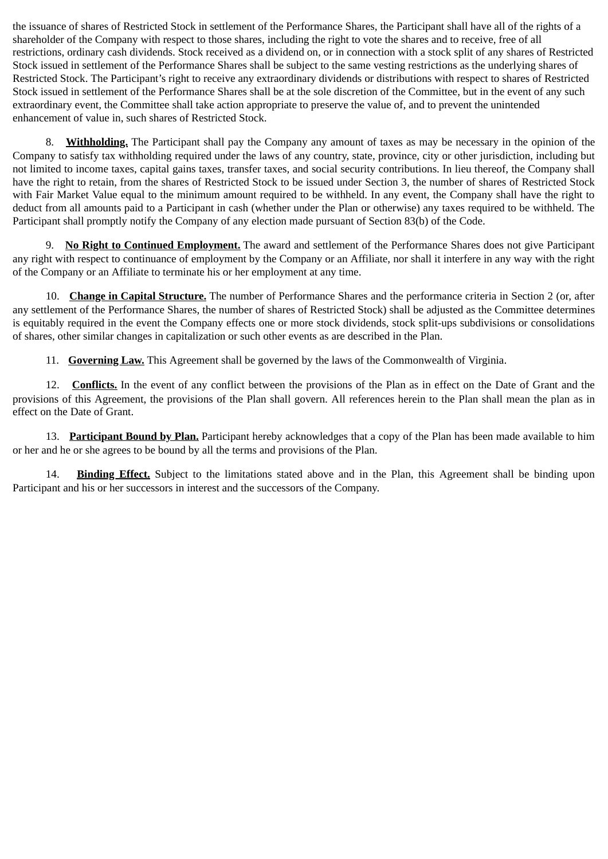the issuance of shares of Restricted Stock in settlement of the Performance Shares, the Participant shall have all of the rights of a shareholder of the Company with respect to those shares, including the right to vote the shares and to receive, free of all restrictions, ordinary cash dividends. Stock received as a dividend on, or in connection with a stock split of any shares of Restricted Stock issued in settlement of the Performance Shares shall be subject to the same vesting restrictions as the underlying shares of Restricted Stock. The Participant's right to receive any extraordinary dividends or distributions with respect to shares of Restricted Stock issued in settlement of the Performance Shares shall be at the sole discretion of the Committee, but in the event of any such extraordinary event, the Committee shall take action appropriate to preserve the value of, and to prevent the unintended enhancement of value in, such shares of Restricted Stock.

8. **Withholding.** The Participant shall pay the Company any amount of taxes as may be necessary in the opinion of the Company to satisfy tax withholding required under the laws of any country, state, province, city or other jurisdiction, including but not limited to income taxes, capital gains taxes, transfer taxes, and social security contributions. In lieu thereof, the Company shall have the right to retain, from the shares of Restricted Stock to be issued under Section 3, the number of shares of Restricted Stock with Fair Market Value equal to the minimum amount required to be withheld. In any event, the Company shall have the right to deduct from all amounts paid to a Participant in cash (whether under the Plan or otherwise) any taxes required to be withheld. The Participant shall promptly notify the Company of any election made pursuant of Section 83(b) of the Code.

9. **No Right to Continued Employment.** The award and settlement of the Performance Shares does not give Participant any right with respect to continuance of employment by the Company or an Affiliate, nor shall it interfere in any way with the right of the Company or an Affiliate to terminate his or her employment at any time.

10. **Change in Capital Structure.** The number of Performance Shares and the performance criteria in Section 2 (or, after any settlement of the Performance Shares, the number of shares of Restricted Stock) shall be adjusted as the Committee determines is equitably required in the event the Company effects one or more stock dividends, stock split-ups subdivisions or consolidations of shares, other similar changes in capitalization or such other events as are described in the Plan.

11. **Governing Law.** This Agreement shall be governed by the laws of the Commonwealth of Virginia.

12. **Conflicts.** In the event of any conflict between the provisions of the Plan as in effect on the Date of Grant and the provisions of this Agreement, the provisions of the Plan shall govern. All references herein to the Plan shall mean the plan as in effect on the Date of Grant.

13. **Participant Bound by Plan.** Participant hereby acknowledges that a copy of the Plan has been made available to him or her and he or she agrees to be bound by all the terms and provisions of the Plan.

14. **Binding Effect.** Subject to the limitations stated above and in the Plan, this Agreement shall be binding upon Participant and his or her successors in interest and the successors of the Company.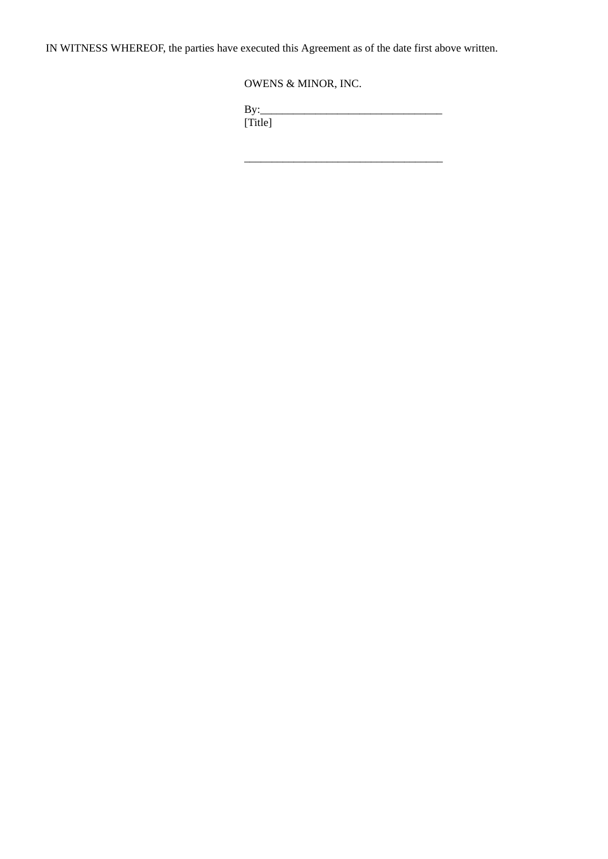IN WITNESS WHEREOF, the parties have executed this Agreement as of the date first above written.

OWENS & MINOR, INC.

\_\_\_\_\_\_\_\_\_\_\_\_\_\_\_\_\_\_\_\_\_\_\_\_\_\_\_\_\_\_\_\_\_\_\_\_

By:\_\_\_\_\_\_\_\_\_\_\_\_\_\_\_\_\_\_\_\_\_\_\_\_\_\_\_\_\_\_\_\_\_ [Title]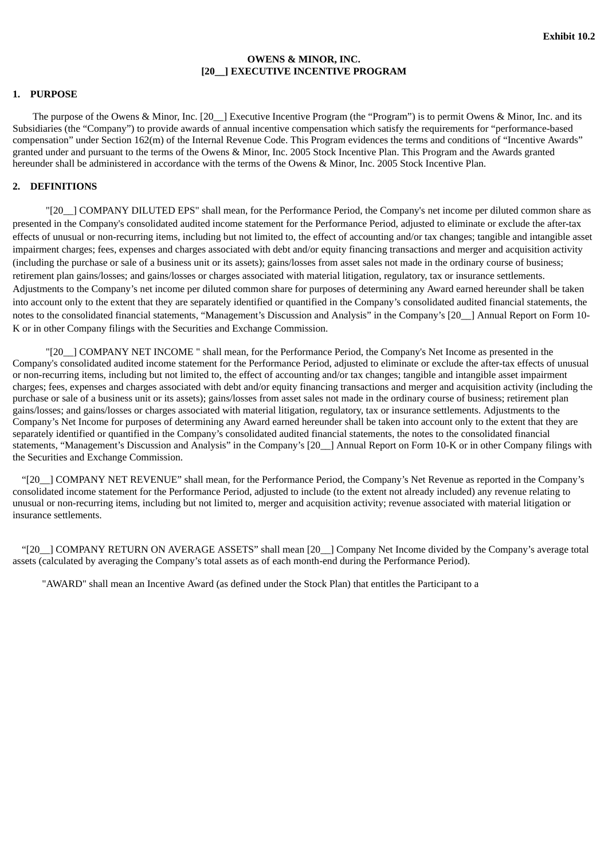### **OWENS & MINOR, INC. [20\_\_] EXECUTIVE INCENTIVE PROGRAM**

### **1. PURPOSE**

The purpose of the Owens & Minor, Inc. [20\_\_] Executive Incentive Program (the "Program") is to permit Owens & Minor, Inc. and its Subsidiaries (the "Company") to provide awards of annual incentive compensation which satisfy the requirements for "performance-based compensation" under Section 162(m) of the Internal Revenue Code. This Program evidences the terms and conditions of "Incentive Awards" granted under and pursuant to the terms of the Owens & Minor, Inc. 2005 Stock Incentive Plan. This Program and the Awards granted hereunder shall be administered in accordance with the terms of the Owens & Minor, Inc. 2005 Stock Incentive Plan.

### **2. DEFINITIONS**

"[20\_\_] COMPANY DILUTED EPS" shall mean, for the Performance Period, the Company's net income per diluted common share as presented in the Company's consolidated audited income statement for the Performance Period, adjusted to eliminate or exclude the after-tax effects of unusual or non-recurring items, including but not limited to, the effect of accounting and/or tax changes; tangible and intangible asset impairment charges; fees, expenses and charges associated with debt and/or equity financing transactions and merger and acquisition activity (including the purchase or sale of a business unit or its assets); gains/losses from asset sales not made in the ordinary course of business; retirement plan gains/losses; and gains/losses or charges associated with material litigation, regulatory, tax or insurance settlements. Adjustments to the Company's net income per diluted common share for purposes of determining any Award earned hereunder shall be taken into account only to the extent that they are separately identified or quantified in the Company's consolidated audited financial statements, the notes to the consolidated financial statements, "Management's Discussion and Analysis" in the Company's [20  $\,$  ] Annual Report on Form 10-K or in other Company filings with the Securities and Exchange Commission.

"[20\_\_] COMPANY NET INCOME " shall mean, for the Performance Period, the Company's Net Income as presented in the Company's consolidated audited income statement for the Performance Period, adjusted to eliminate or exclude the after-tax effects of unusual or non-recurring items, including but not limited to, the effect of accounting and/or tax changes; tangible and intangible asset impairment charges; fees, expenses and charges associated with debt and/or equity financing transactions and merger and acquisition activity (including the purchase or sale of a business unit or its assets); gains/losses from asset sales not made in the ordinary course of business; retirement plan gains/losses; and gains/losses or charges associated with material litigation, regulatory, tax or insurance settlements. Adjustments to the Company's Net Income for purposes of determining any Award earned hereunder shall be taken into account only to the extent that they are separately identified or quantified in the Company's consolidated audited financial statements, the notes to the consolidated financial statements, "Management's Discussion and Analysis" in the Company's [20\_\_] Annual Report on Form 10-K or in other Company filings with the Securities and Exchange Commission.

"[20\_\_] COMPANY NET REVENUE" shall mean, for the Performance Period, the Company's Net Revenue as reported in the Company's consolidated income statement for the Performance Period, adjusted to include (to the extent not already included) any revenue relating to unusual or non-recurring items, including but not limited to, merger and acquisition activity; revenue associated with material litigation or insurance settlements.

"[20\_\_] COMPANY RETURN ON AVERAGE ASSETS" shall mean [20\_\_] Company Net Income divided by the Company's average total assets (calculated by averaging the Company's total assets as of each month-end during the Performance Period).

"AWARD" shall mean an Incentive Award (as defined under the Stock Plan) that entitles the Participant to a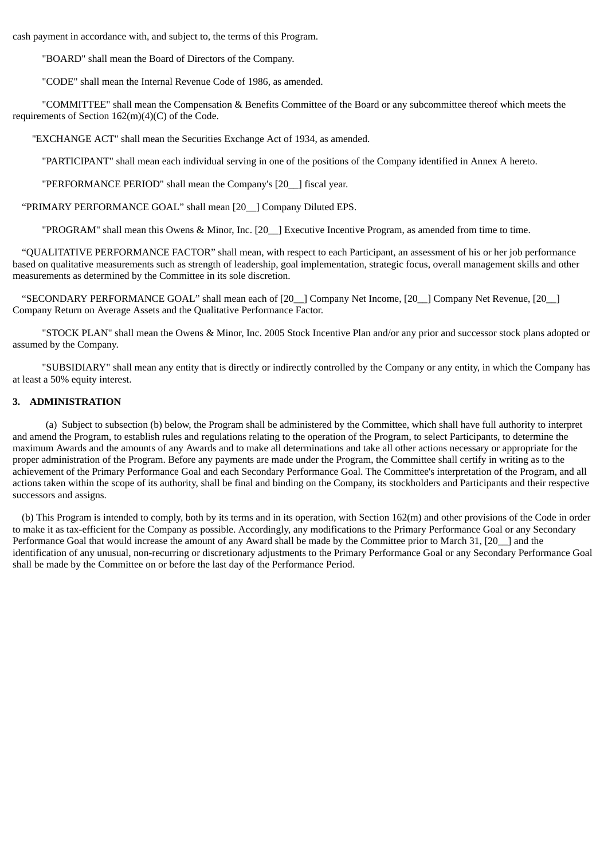cash payment in accordance with, and subject to, the terms of this Program.

"BOARD" shall mean the Board of Directors of the Company.

"CODE" shall mean the Internal Revenue Code of 1986, as amended.

"COMMITTEE" shall mean the Compensation & Benefits Committee of the Board or any subcommittee thereof which meets the requirements of Section 162(m)(4)(C) of the Code.

"EXCHANGE ACT" shall mean the Securities Exchange Act of 1934, as amended.

"PARTICIPANT" shall mean each individual serving in one of the positions of the Company identified in Annex A hereto.

"PERFORMANCE PERIOD" shall mean the Company's [20\_\_] fiscal year.

"PRIMARY PERFORMANCE GOAL" shall mean [20\_\_] Company Diluted EPS.

"PROGRAM" shall mean this Owens & Minor, Inc. [20\_\_] Executive Incentive Program, as amended from time to time.

"QUALITATIVE PERFORMANCE FACTOR" shall mean, with respect to each Participant, an assessment of his or her job performance based on qualitative measurements such as strength of leadership, goal implementation, strategic focus, overall management skills and other measurements as determined by the Committee in its sole discretion.

"SECONDARY PERFORMANCE GOAL" shall mean each of [20\_\_] Company Net Income, [20\_\_] Company Net Revenue, [20\_\_] Company Return on Average Assets and the Qualitative Performance Factor.

"STOCK PLAN" shall mean the Owens & Minor, Inc. 2005 Stock Incentive Plan and/or any prior and successor stock plans adopted or assumed by the Company.

"SUBSIDIARY" shall mean any entity that is directly or indirectly controlled by the Company or any entity, in which the Company has at least a 50% equity interest.

### **3. ADMINISTRATION**

(a) Subject to subsection (b) below, the Program shall be administered by the Committee, which shall have full authority to interpret and amend the Program, to establish rules and regulations relating to the operation of the Program, to select Participants, to determine the maximum Awards and the amounts of any Awards and to make all determinations and take all other actions necessary or appropriate for the proper administration of the Program. Before any payments are made under the Program, the Committee shall certify in writing as to the achievement of the Primary Performance Goal and each Secondary Performance Goal. The Committee's interpretation of the Program, and all actions taken within the scope of its authority, shall be final and binding on the Company, its stockholders and Participants and their respective successors and assigns.

(b) This Program is intended to comply, both by its terms and in its operation, with Section 162(m) and other provisions of the Code in order to make it as tax-efficient for the Company as possible. Accordingly, any modifications to the Primary Performance Goal or any Secondary Performance Goal that would increase the amount of any Award shall be made by the Committee prior to March 31, [20  $\Box$ ] and the identification of any unusual, non-recurring or discretionary adjustments to the Primary Performance Goal or any Secondary Performance Goal shall be made by the Committee on or before the last day of the Performance Period.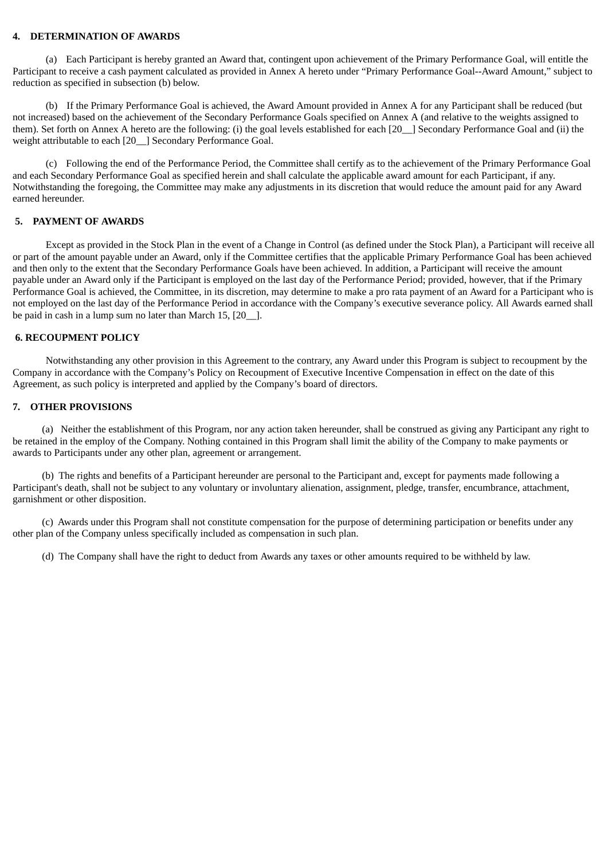### **4. DETERMINATION OF AWARDS**

(a) Each Participant is hereby granted an Award that, contingent upon achievement of the Primary Performance Goal, will entitle the Participant to receive a cash payment calculated as provided in Annex A hereto under "Primary Performance Goal--Award Amount," subject to reduction as specified in subsection (b) below.

(b) If the Primary Performance Goal is achieved, the Award Amount provided in Annex A for any Participant shall be reduced (but not increased) based on the achievement of the Secondary Performance Goals specified on Annex A (and relative to the weights assigned to them). Set forth on Annex A hereto are the following: (i) the goal levels established for each [20\_\_] Secondary Performance Goal and (ii) the weight attributable to each [20  $\parallel$ ] Secondary Performance Goal.

(c) Following the end of the Performance Period, the Committee shall certify as to the achievement of the Primary Performance Goal and each Secondary Performance Goal as specified herein and shall calculate the applicable award amount for each Participant, if any. Notwithstanding the foregoing, the Committee may make any adjustments in its discretion that would reduce the amount paid for any Award earned hereunder.

### **5. PAYMENT OF AWARDS**

Except as provided in the Stock Plan in the event of a Change in Control (as defined under the Stock Plan), a Participant will receive all or part of the amount payable under an Award, only if the Committee certifies that the applicable Primary Performance Goal has been achieved and then only to the extent that the Secondary Performance Goals have been achieved. In addition, a Participant will receive the amount payable under an Award only if the Participant is employed on the last day of the Performance Period; provided, however, that if the Primary Performance Goal is achieved, the Committee, in its discretion, may determine to make a pro rata payment of an Award for a Participant who is not employed on the last day of the Performance Period in accordance with the Company's executive severance policy. All Awards earned shall be paid in cash in a lump sum no later than March 15, [20  $\Box$ ].

### **6. RECOUPMENT POLICY**

Notwithstanding any other provision in this Agreement to the contrary, any Award under this Program is subject to recoupment by the Company in accordance with the Company's Policy on Recoupment of Executive Incentive Compensation in effect on the date of this Agreement, as such policy is interpreted and applied by the Company's board of directors.

### **7. OTHER PROVISIONS**

(a) Neither the establishment of this Program, nor any action taken hereunder, shall be construed as giving any Participant any right to be retained in the employ of the Company. Nothing contained in this Program shall limit the ability of the Company to make payments or awards to Participants under any other plan, agreement or arrangement.

(b) The rights and benefits of a Participant hereunder are personal to the Participant and, except for payments made following a Participant's death, shall not be subject to any voluntary or involuntary alienation, assignment, pledge, transfer, encumbrance, attachment, garnishment or other disposition.

(c) Awards under this Program shall not constitute compensation for the purpose of determining participation or benefits under any other plan of the Company unless specifically included as compensation in such plan.

(d) The Company shall have the right to deduct from Awards any taxes or other amounts required to be withheld by law.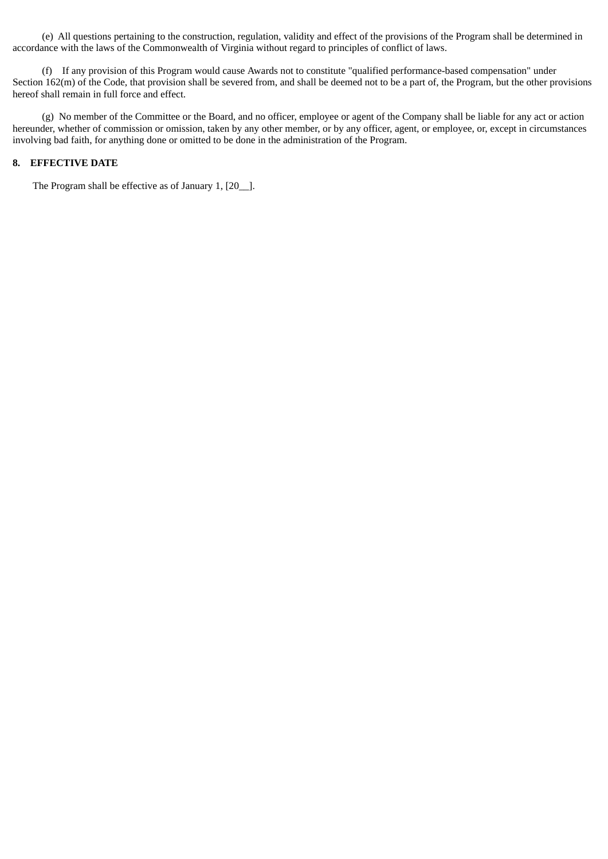(e) All questions pertaining to the construction, regulation, validity and effect of the provisions of the Program shall be determined in accordance with the laws of the Commonwealth of Virginia without regard to principles of conflict of laws.

(f) If any provision of this Program would cause Awards not to constitute "qualified performance-based compensation" under Section 162(m) of the Code, that provision shall be severed from, and shall be deemed not to be a part of, the Program, but the other provisions hereof shall remain in full force and effect.

(g) No member of the Committee or the Board, and no officer, employee or agent of the Company shall be liable for any act or action hereunder, whether of commission or omission, taken by any other member, or by any officer, agent, or employee, or, except in circumstances involving bad faith, for anything done or omitted to be done in the administration of the Program.

### **8. EFFECTIVE DATE**

The Program shall be effective as of January 1, [20\_\_].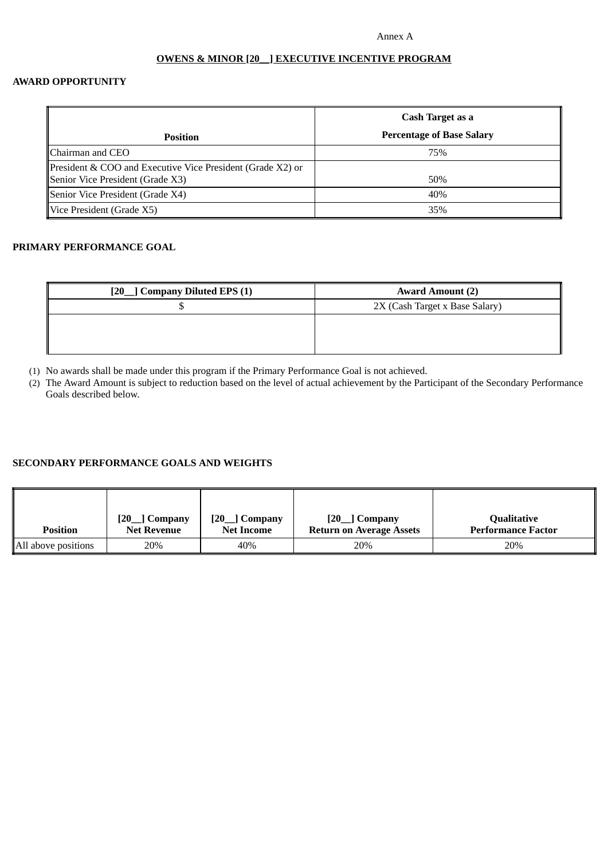#### Annex A

### **OWENS & MINOR [20\_\_] EXECUTIVE INCENTIVE PROGRAM**

### **AWARD OPPORTUNITY**

| <b>Position</b>                                            | Cash Target as a<br><b>Percentage of Base Salary</b> |
|------------------------------------------------------------|------------------------------------------------------|
|                                                            |                                                      |
| Chairman and CEO                                           | 75%                                                  |
| President & COO and Executive Vice President (Grade X2) or |                                                      |
| Senior Vice President (Grade X3)                           | 50%                                                  |
| Senior Vice President (Grade X4)                           | 40%                                                  |
| Vice President (Grade X5)                                  | 35%                                                  |

### **PRIMARY PERFORMANCE GOAL**

| [20_] Company Diluted EPS (1) | <b>Award Amount (2)</b>        |
|-------------------------------|--------------------------------|
|                               | 2X (Cash Target x Base Salary) |
|                               |                                |
|                               |                                |
|                               |                                |

(1) No awards shall be made under this program if the Primary Performance Goal is not achieved.

(2) The Award Amount is subject to reduction based on the level of actual achievement by the Participant of the Secondary Performance Goals described below.

# **SECONDARY PERFORMANCE GOALS AND WEIGHTS**

| <b>Position</b>     | [20_] Company      | [20_] Company     | $[20]$ Company                  | <b>Qualitative</b>        |
|---------------------|--------------------|-------------------|---------------------------------|---------------------------|
|                     | <b>Net Revenue</b> | <b>Net Income</b> | <b>Return on Average Assets</b> | <b>Performance Factor</b> |
| All above positions | 20%                | 40%               | 20%                             | 20%                       |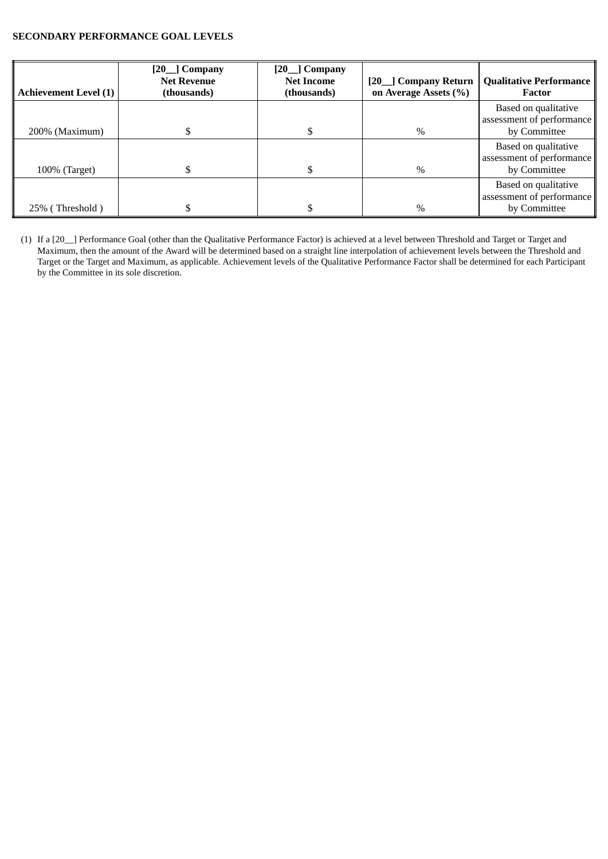### **SECONDARY PERFORMANCE GOAL LEVELS**

| <b>Achievement Level (1)</b> | [20_] Company<br><b>Net Revenue</b><br>(thousands) | [20_] Company<br><b>Net Income</b><br>(thousands) | [20_] Company Return<br>on Average Assets (%) | Qualitative Performance<br>Factor                                 |
|------------------------------|----------------------------------------------------|---------------------------------------------------|-----------------------------------------------|-------------------------------------------------------------------|
| 200% (Maximum)               | J                                                  |                                                   | $\%$                                          | Based on qualitative<br>assessment of performance<br>by Committee |
| 100% (Target)                | ٠D                                                 |                                                   | $\%$                                          | Based on qualitative<br>assessment of performance<br>by Committee |
| 25% (Threshold)              |                                                    |                                                   | $\%$                                          | Based on qualitative<br>assessment of performance<br>by Committee |

(1) If a [20\_\_] Performance Goal (other than the Qualitative Performance Factor) is achieved at a level between Threshold and Target or Target and Maximum, then the amount of the Award will be determined based on a straight line interpolation of achievement levels between the Threshold and Target or the Target and Maximum, as applicable. Achievement levels of the Qualitative Performance Factor shall be determined for each Participant by the Committee in its sole discretion.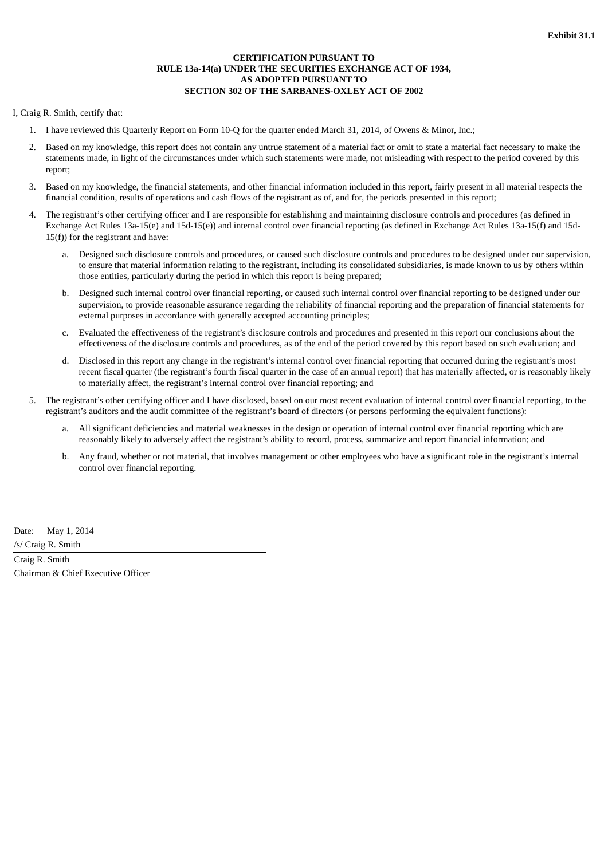### **CERTIFICATION PURSUANT TO RULE 13a-14(a) UNDER THE SECURITIES EXCHANGE ACT OF 1934, AS ADOPTED PURSUANT TO SECTION 302 OF THE SARBANES-OXLEY ACT OF 2002**

### I, Craig R. Smith, certify that:

- 1. I have reviewed this Quarterly Report on Form 10-Q for the quarter ended March 31, 2014, of Owens & Minor, Inc.;
- 2. Based on my knowledge, this report does not contain any untrue statement of a material fact or omit to state a material fact necessary to make the statements made, in light of the circumstances under which such statements were made, not misleading with respect to the period covered by this report;
- 3. Based on my knowledge, the financial statements, and other financial information included in this report, fairly present in all material respects the financial condition, results of operations and cash flows of the registrant as of, and for, the periods presented in this report;
- 4. The registrant's other certifying officer and I are responsible for establishing and maintaining disclosure controls and procedures (as defined in Exchange Act Rules 13a-15(e) and 15d-15(e)) and internal control over financial reporting (as defined in Exchange Act Rules 13a-15(f) and 15d- $15(f)$ ) for the registrant and have:
	- a. Designed such disclosure controls and procedures, or caused such disclosure controls and procedures to be designed under our supervision, to ensure that material information relating to the registrant, including its consolidated subsidiaries, is made known to us by others within those entities, particularly during the period in which this report is being prepared;
	- b. Designed such internal control over financial reporting, or caused such internal control over financial reporting to be designed under our supervision, to provide reasonable assurance regarding the reliability of financial reporting and the preparation of financial statements for external purposes in accordance with generally accepted accounting principles;
	- c. Evaluated the effectiveness of the registrant's disclosure controls and procedures and presented in this report our conclusions about the effectiveness of the disclosure controls and procedures, as of the end of the period covered by this report based on such evaluation; and
	- d. Disclosed in this report any change in the registrant's internal control over financial reporting that occurred during the registrant's most recent fiscal quarter (the registrant's fourth fiscal quarter in the case of an annual report) that has materially affected, or is reasonably likely to materially affect, the registrant's internal control over financial reporting; and
- 5. The registrant's other certifying officer and I have disclosed, based on our most recent evaluation of internal control over financial reporting, to the registrant's auditors and the audit committee of the registrant's board of directors (or persons performing the equivalent functions):
	- a. All significant deficiencies and material weaknesses in the design or operation of internal control over financial reporting which are reasonably likely to adversely affect the registrant's ability to record, process, summarize and report financial information; and
	- b. Any fraud, whether or not material, that involves management or other employees who have a significant role in the registrant's internal control over financial reporting.

Date: May 1, 2014 /s/ Craig R. Smith

Craig R. Smith Chairman & Chief Executive Officer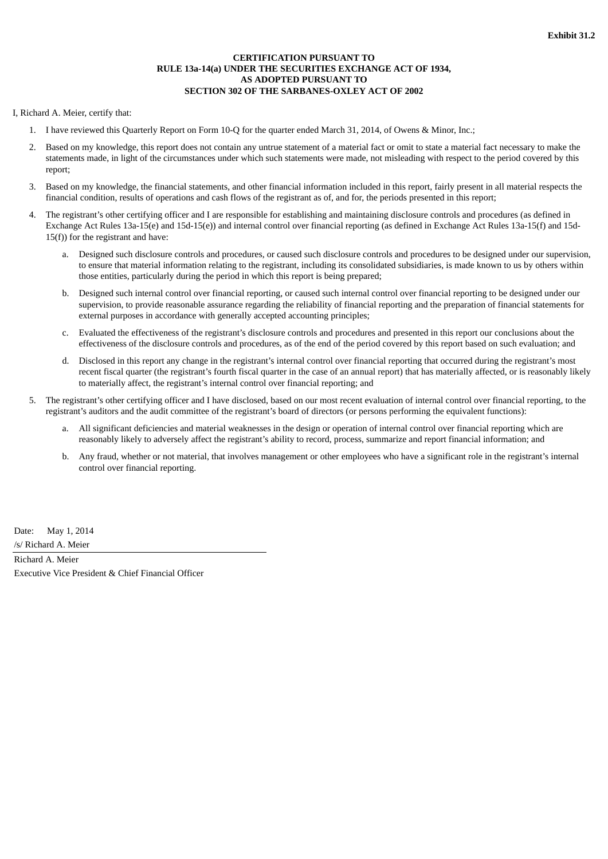### **CERTIFICATION PURSUANT TO RULE 13a-14(a) UNDER THE SECURITIES EXCHANGE ACT OF 1934, AS ADOPTED PURSUANT TO SECTION 302 OF THE SARBANES-OXLEY ACT OF 2002**

#### I, Richard A. Meier, certify that:

- 1. I have reviewed this Quarterly Report on Form 10-Q for the quarter ended March 31, 2014, of Owens & Minor, Inc.;
- 2. Based on my knowledge, this report does not contain any untrue statement of a material fact or omit to state a material fact necessary to make the statements made, in light of the circumstances under which such statements were made, not misleading with respect to the period covered by this report;
- 3. Based on my knowledge, the financial statements, and other financial information included in this report, fairly present in all material respects the financial condition, results of operations and cash flows of the registrant as of, and for, the periods presented in this report;
- 4. The registrant's other certifying officer and I are responsible for establishing and maintaining disclosure controls and procedures (as defined in Exchange Act Rules 13a-15(e) and 15d-15(e)) and internal control over financial reporting (as defined in Exchange Act Rules 13a-15(f) and 15d- $15(f)$ ) for the registrant and have:
	- a. Designed such disclosure controls and procedures, or caused such disclosure controls and procedures to be designed under our supervision, to ensure that material information relating to the registrant, including its consolidated subsidiaries, is made known to us by others within those entities, particularly during the period in which this report is being prepared;
	- b. Designed such internal control over financial reporting, or caused such internal control over financial reporting to be designed under our supervision, to provide reasonable assurance regarding the reliability of financial reporting and the preparation of financial statements for external purposes in accordance with generally accepted accounting principles;
	- c. Evaluated the effectiveness of the registrant's disclosure controls and procedures and presented in this report our conclusions about the effectiveness of the disclosure controls and procedures, as of the end of the period covered by this report based on such evaluation; and
	- d. Disclosed in this report any change in the registrant's internal control over financial reporting that occurred during the registrant's most recent fiscal quarter (the registrant's fourth fiscal quarter in the case of an annual report) that has materially affected, or is reasonably likely to materially affect, the registrant's internal control over financial reporting; and
- 5. The registrant's other certifying officer and I have disclosed, based on our most recent evaluation of internal control over financial reporting, to the registrant's auditors and the audit committee of the registrant's board of directors (or persons performing the equivalent functions):
	- a. All significant deficiencies and material weaknesses in the design or operation of internal control over financial reporting which are reasonably likely to adversely affect the registrant's ability to record, process, summarize and report financial information; and
	- b. Any fraud, whether or not material, that involves management or other employees who have a significant role in the registrant's internal control over financial reporting.

Date: May 1, 2014

/s/ Richard A. Meier

Richard A. Meier Executive Vice President & Chief Financial Officer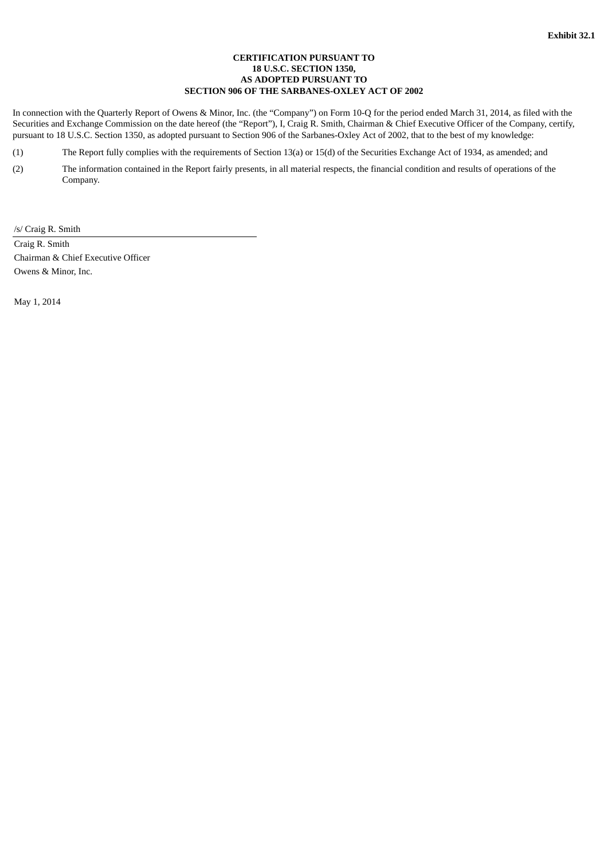### **CERTIFICATION PURSUANT TO 18 U.S.C. SECTION 1350, AS ADOPTED PURSUANT TO SECTION 906 OF THE SARBANES-OXLEY ACT OF 2002**

In connection with the Quarterly Report of Owens & Minor, Inc. (the "Company") on Form 10-Q for the period ended March 31, 2014, as filed with the Securities and Exchange Commission on the date hereof (the "Report"), I, Craig R. Smith, Chairman & Chief Executive Officer of the Company, certify, pursuant to 18 U.S.C. Section 1350, as adopted pursuant to Section 906 of the Sarbanes-Oxley Act of 2002, that to the best of my knowledge:

(1) The Report fully complies with the requirements of Section 13(a) or 15(d) of the Securities Exchange Act of 1934, as amended; and

(2) The information contained in the Report fairly presents, in all material respects, the financial condition and results of operations of the Company.

/s/ Craig R. Smith

Craig R. Smith Chairman & Chief Executive Officer Owens & Minor, Inc.

May 1, 2014